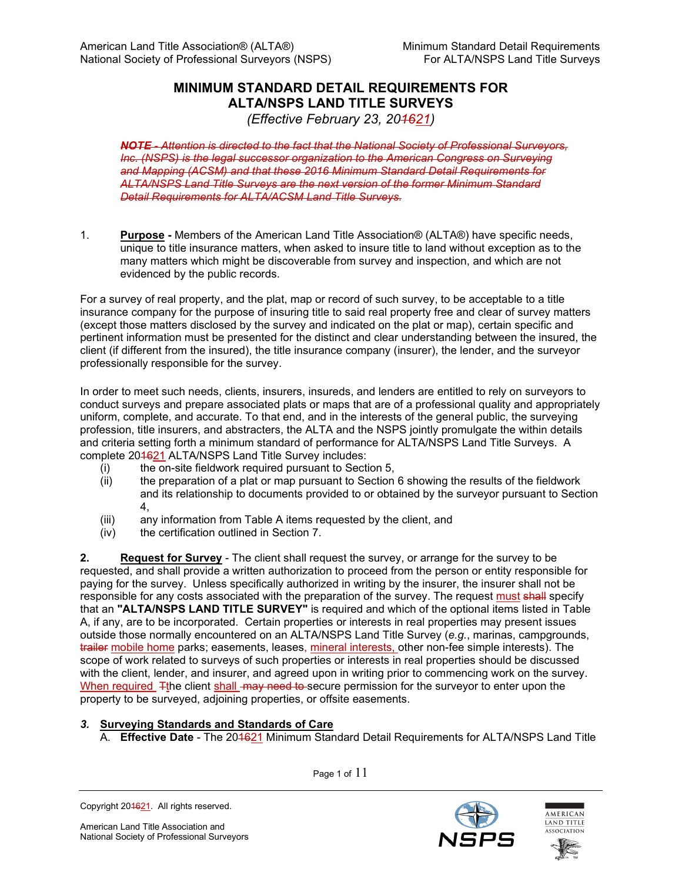# **MINIMUM STANDARD DETAIL REQUIREMENTS FOR ALTA/NSPS LAND TITLE SURVEYS**

*(Effective February 23, 201621)*

*NOTE - Attention is directed to the fact that the National Society of Professional Surveyors, Inc. (NSPS) is the legal successor organization to the American Congress on Surveying and Mapping (ACSM) and that these 2016 Minimum Standard Detail Requirements for ALTA/NSPS Land Title Surveys are the next version of the former Minimum Standard Detail Requirements for ALTA/ACSM Land Title Surveys.*

1. **Purpose -** Members of the American Land Title Association® (ALTA®) have specific needs, unique to title insurance matters, when asked to insure title to land without exception as to the many matters which might be discoverable from survey and inspection, and which are not evidenced by the public records.

For a survey of real property, and the plat, map or record of such survey, to be acceptable to a title insurance company for the purpose of insuring title to said real property free and clear of survey matters (except those matters disclosed by the survey and indicated on the plat or map), certain specific and pertinent information must be presented for the distinct and clear understanding between the insured, the client (if different from the insured), the title insurance company (insurer), the lender, and the surveyor professionally responsible for the survey.

In order to meet such needs, clients, insurers, insureds, and lenders are entitled to rely on surveyors to conduct surveys and prepare associated plats or maps that are of a professional quality and appropriately uniform, complete, and accurate. To that end, and in the interests of the general public, the surveying profession, title insurers, and abstracters, the ALTA and the NSPS jointly promulgate the within details and criteria setting forth a minimum standard of performance for ALTA/NSPS Land Title Surveys. A complete 201621 ALTA/NSPS Land Title Survey includes:

- (i) the on-site fieldwork required pursuant to Section 5,
- (ii) the preparation of a plat or map pursuant to Section 6 showing the results of the fieldwork and its relationship to documents provided to or obtained by the surveyor pursuant to Section 4,
- (iii) any information from Table A items requested by the client, and
- (iv) the certification outlined in Section 7.

**2. Request for Survey** - The client shall request the survey, or arrange for the survey to be requested, and shall provide a written authorization to proceed from the person or entity responsible for paying for the survey. Unless specifically authorized in writing by the insurer, the insurer shall not be responsible for any costs associated with the preparation of the survey. The request must shall specify that an **"ALTA/NSPS LAND TITLE SURVEY"** is required and which of the optional items listed in Table A, if any, are to be incorporated. Certain properties or interests in real properties may present issues outside those normally encountered on an ALTA/NSPS Land Title Survey (*e.g.*, marinas, campgrounds, trailer mobile home parks; easements, leases, mineral interests, other non-fee simple interests). The scope of work related to surveys of such properties or interests in real properties should be discussed with the client, lender, and insurer, and agreed upon in writing prior to commencing work on the survey. When required Tthe client shall may need to secure permission for the surveyor to enter upon the property to be surveyed, adjoining properties, or offsite easements.

### *3.* **Surveying Standards and Standards of Care**

A. **Effective Date** - The 201621 Minimum Standard Detail Requirements for ALTA/NSPS Land Title

Page 1 of  $11$ 







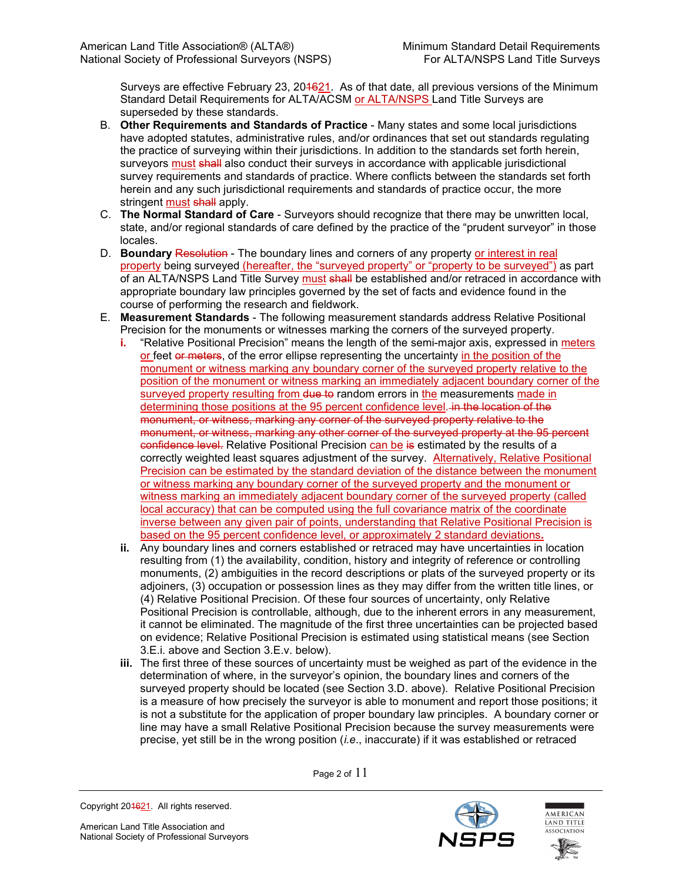Surveys are effective February 23, 204621. As of that date, all previous versions of the Minimum Standard Detail Requirements for ALTA/ACSM or ALTA/NSPS Land Title Surveys are superseded by these standards.

- B. **Other Requirements and Standards of Practice** Many states and some local jurisdictions have adopted statutes, administrative rules, and/or ordinances that set out standards regulating the practice of surveying within their jurisdictions. In addition to the standards set forth herein, surveyors must shall also conduct their surveys in accordance with applicable jurisdictional survey requirements and standards of practice. Where conflicts between the standards set forth herein and any such jurisdictional requirements and standards of practice occur, the more stringent must shall apply.
- C. **The Normal Standard of Care** Surveyors should recognize that there may be unwritten local, state, and/or regional standards of care defined by the practice of the "prudent surveyor" in those locales.
- D. **Boundary Resolution** The boundary lines and corners of any property or interest in real property being surveyed (hereafter, the "surveyed property" or "property to be surveyed") as part of an ALTA/NSPS Land Title Survey must shall be established and/or retraced in accordance with appropriate boundary law principles governed by the set of facts and evidence found in the course of performing the research and fieldwork.
- E. **Measurement Standards** The following measurement standards address Relative Positional Precision for the monuments or witnesses marking the corners of the surveyed property.
	- **i.** "Relative Positional Precision" means the length of the semi-major axis, expressed in meters or feet or meters, of the error ellipse representing the uncertainty in the position of the monument or witness marking any boundary corner of the surveyed property relative to the position of the monument or witness marking an immediately adjacent boundary corner of the surveyed property resulting from due to random errors in the measurements made in determining those positions at the 95 percent confidence level. in the location of the monument, or witness, marking any corner of the surveyed property relative to the monument, or witness, marking any other corner of the surveyed property at the 95 percent confidence level. Relative Positional Precision can be is estimated by the results of a correctly weighted least squares adjustment of the survey. Alternatively, Relative Positional Precision can be estimated by the standard deviation of the distance between the monument or witness marking any boundary corner of the surveyed property and the monument or witness marking an immediately adjacent boundary corner of the surveyed property (called local accuracy) that can be computed using the full covariance matrix of the coordinate inverse between any given pair of points, understanding that Relative Positional Precision is based on the 95 percent confidence level, or approximately 2 standard deviations**.**
	- **ii.** Any boundary lines and corners established or retraced may have uncertainties in location resulting from (1) the availability, condition, history and integrity of reference or controlling monuments, (2) ambiguities in the record descriptions or plats of the surveyed property or its adjoiners, (3) occupation or possession lines as they may differ from the written title lines, or (4) Relative Positional Precision. Of these four sources of uncertainty, only Relative Positional Precision is controllable, although, due to the inherent errors in any measurement, it cannot be eliminated. The magnitude of the first three uncertainties can be projected based on evidence; Relative Positional Precision is estimated using statistical means (see Section 3.E.i. above and Section 3.E.v. below).
	- **iii.** The first three of these sources of uncertainty must be weighed as part of the evidence in the determination of where, in the surveyor's opinion, the boundary lines and corners of the surveyed property should be located (see Section 3.D. above). Relative Positional Precision is a measure of how precisely the surveyor is able to monument and report those positions; it is not a substitute for the application of proper boundary law principles. A boundary corner or line may have a small Relative Positional Precision because the survey measurements were precise, yet still be in the wrong position (*i.e*., inaccurate) if it was established or retraced

Page 2 of  $11$ 

Copyright 201621. All rights reserved.



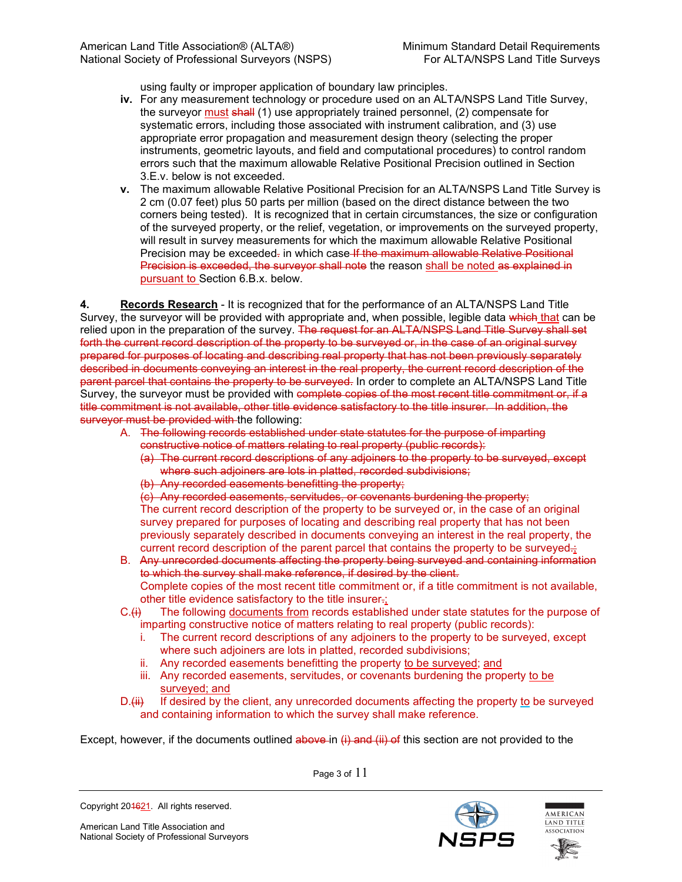using faulty or improper application of boundary law principles.

- **iv.** For any measurement technology or procedure used on an ALTA/NSPS Land Title Survey, the surveyor must shall (1) use appropriately trained personnel, (2) compensate for systematic errors, including those associated with instrument calibration, and (3) use appropriate error propagation and measurement design theory (selecting the proper instruments, geometric layouts, and field and computational procedures) to control random errors such that the maximum allowable Relative Positional Precision outlined in Section 3.E.v. below is not exceeded.
- corners being tested). It is recognized that in certain circumstances, the size or configuration **v.** The maximum allowable Relative Positional Precision for an ALTA/NSPS Land Title Survey is 2 cm (0.07 feet) plus 50 parts per million (based on the direct distance between the two of the surveyed property, or the relief, vegetation, or improvements on the surveyed property, will result in survey measurements for which the maximum allowable Relative Positional Precision may be exceeded, in which case If the maximum allowable Relative Positional Precision is exceeded, the surveyor shall note the reason shall be noted as explained in pursuant to Section 6.B.x. below.

 **4. Records Research** - It is recognized that for the performance of an ALTA/NSPS Land Title Survey, the surveyor will be provided with appropriate and, when possible, legible data <del>which <u>that</u> can</del> be relied upon in the preparation of the survey. <del>The request for an ALTA/NSPS Land Title Survey shall set</del> forth the current record description of the property to be surveyed or, in the case of an original survey prepared for purposes of locating and describing real property that has not been previously separately described in documents conveying an interest in the real property, the current record description of the <del>parent parcel that contains the property to be surveyed.</del> In order to complete an ALTA/NSPS Land Title Survey, the surveyor must be provided with <del>complete copies of the most recent title commitment or, if a</del> title commitment is not available, other title evidence satisfactory to the title insurer. In addition, the surveyor must be provided with the following:

- A. The following records established under state statutes for the purpose of imparting constructive notice of matters relating to real property (public records):
	- (a) The current record descriptions of any adjoiners to the property to be surveyed, except where such adjoiners are lots in platted, recorded subdivisions;
	- (b) Any recorded easements benefitting the property;

 (c) Any recorded easements, servitudes, or covenants burdening the property; The current record description of the property to be surveyed or, in the case of an original survey prepared for purposes of locating and describing real property that has not been previously separately described in documents conveying an interest in the real property, the current record description of the parent parcel that contains the property to be surveyed $\frac{1}{11}$ 

- B. Any unrecorded documents affecting the property being surveyed and containing information to which the survey shall make reference, if desired by the client. Complete copies of the most recent title commitment or, if a title commitment is not available,
- $C.\langle i \rangle$  The following <u>documents from</u> records established under state statutes for the purpose of other title evidence satisfactory to the title insurer.;<br>C. $\leftrightarrow$  The following documents from records establis imparting constructive notice of matters relating to real property (public records):
	- i. The current record descriptions of any adjoiners to the property to be surveyed, except where such adjoiners are lots in platted, recorded subdivisions;
	- ii. Any recorded easements benefitting the property to be surveyed; and
	- iii. Any recorded easements, servitudes, or covenants burdening the property to be surveyed; and
- $D.Hii$  If desired by the client, any unrecorded documents affecting the property to be surveyed and containing information to which the survey shall make reference.

Except, however, if the documents outlined <del>above i</del>n <del>(i) and (ii) of</del> this section are not provided to the

Page 3 of  $\,11$ 





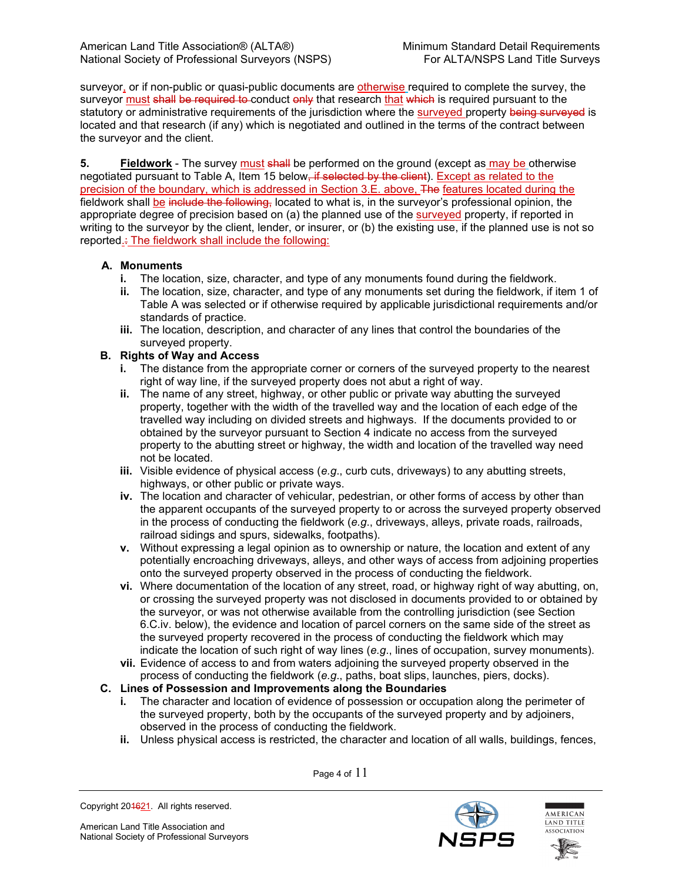surveyor<u>,</u> or if non-public or quasi-public documents are <u>otherwise r</u>equired to complete the survey, the surveyor <u>must</u> <del>shall be required to </del>conduct <del>only</del> that research <u>that</u> <del>which</del> is required pursuant to the statutory or administrative requirements of the jurisdiction where the <u>surveyed </u>property <del>being surveyed</del> is located and that research (if any) which is negotiated and outlined in the terms of the contract between the surveyor and the client.

**5. <u>Fieldwork</u>** - The survey <u>must</u> shall be performed on the ground (except as <u>may be o</u>therwise negotiated pursuant to Table A, Item 15 below<del>, if selected by the client</del>). <u>Except as related to the</u> precision of the boundary, which is addressed in Section 3.E. above, The features located during the fieldwork shall <u>be</u> <del>include the following,</del> located to what is, in the surveyor's professional opinion, the appropriate degree of precision based on (a) the planned use of the <u>surveyed</u> property, if reported in writing to the surveyor by the client, lender, or insurer, or (b) the existing use, if the planned use is not so reported<u>.</u> The fieldwork shall include the following:

### **A. Monuments**

- **i.** The location, size, character, and type of any monuments found during the fieldwork.
- **ii.** The location, size, character, and type of any monuments set during the fieldwork, if item 1 of Table A was selected or if otherwise required by applicable jurisdictional requirements and/or standards of practice.
- **iii.** The location, description, and character of any lines that control the boundaries of the surveyed property.

### **B. Rights of Way and Access**

- **i.** The distance from the appropriate corner or corners of the surveyed property to the nearest right of way line, if the surveyed property does not abut a right of way.
- **ii.** The name of any street, highway, or other public or private way abutting the surveyed property, together with the width of the travelled way and the location of each edge of the travelled way including on divided streets and highways. If the documents provided to or obtained by the surveyor pursuant to Section 4 indicate no access from the surveyed property to the abutting street or highway, the width and location of the travelled way need not be located.
- **iii.** Visible evidence of physical access (*e.g*., curb cuts, driveways) to any abutting streets, highways, or other public or private ways.
- **iv.** The location and character of vehicular, pedestrian, or other forms of access by other than the apparent occupants of the surveyed property to or across the surveyed property observed in the process of conducting the fieldwork (*e.g*., driveways, alleys, private roads, railroads, railroad sidings and spurs, sidewalks, footpaths).
- **v.** Without expressing a legal opinion as to ownership or nature, the location and extent of any potentially encroaching driveways, alleys, and other ways of access from adjoining properties onto the surveyed property observed in the process of conducting the fieldwork.
- **vi.** Where documentation of the location of any street, road, or highway right of way abutting, on, or crossing the surveyed property was not disclosed in documents provided to or obtained by the surveyor, or was not otherwise available from the controlling jurisdiction (see Section 6.C.iv. below), the evidence and location of parcel corners on the same side of the street as the surveyed property recovered in the process of conducting the fieldwork which may indicate the location of such right of way lines (*e.g*., lines of occupation, survey monuments).
- **vii.** Evidence of access to and from waters adjoining the surveyed property observed in the process of conducting the fieldwork (*e.g*., paths, boat slips, launches, piers, docks).

### **C. Lines of Possession and Improvements along the Boundaries**

- **i.** The character and location of evidence of possession or occupation along the perimeter of the surveyed property, both by the occupants of the surveyed property and by adjoiners, observed in the process of conducting the fieldwork.
- **ii.** Unless physical access is restricted, the character and location of all walls, buildings, fences,

Page 4 of  $\,11$ 







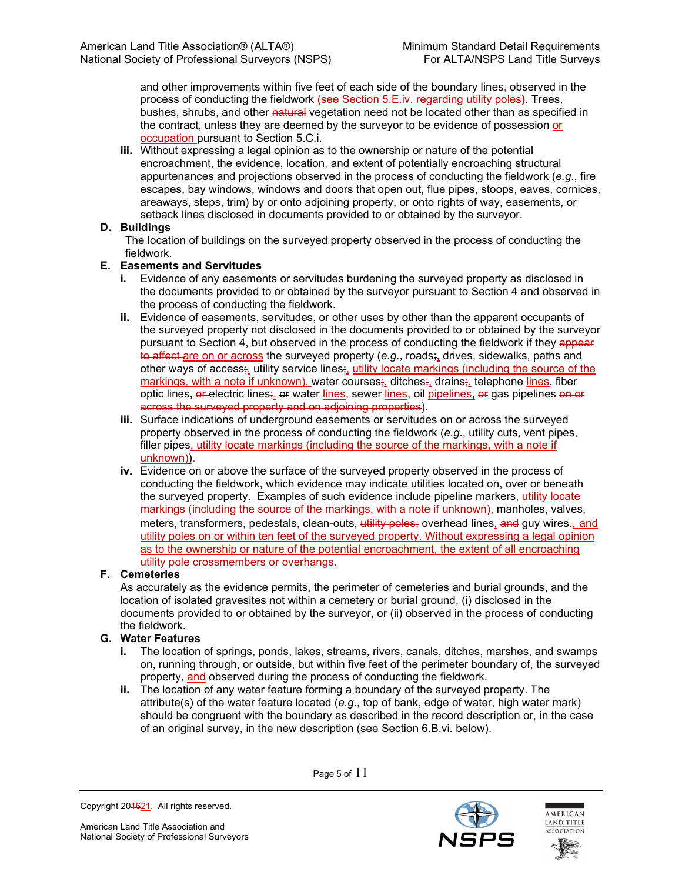and other improvements within five feet of each side of the boundary lines<del>,</del> observed in the process of conducting the fieldwork (see Section 5.E.iv. regarding utility poles**)**. Trees, bushes, shrubs, and other <del>natural</del> vegetation need not be located other than as specified in the contract, unless they are deemed by the surveyor to be evidence of possession <u>or</u> occupation pursuant to Section 5.C.i.

 **iii.** Without expressing a legal opinion as to the ownership or nature of the potential encroachment, the evidence, location, and extent of potentially encroaching structural appurtenances and projections observed in the process of conducting the fieldwork (*e.g*., fire escapes, bay windows, windows and doors that open out, flue pipes, stoops, eaves, cornices, areaways, steps, trim) by or onto adjoining property, or onto rights of way, easements, or setback lines disclosed in documents provided to or obtained by the surveyor.

### **D. Buildings**

 fieldwork. The location of buildings on the surveyed property observed in the process of conducting the

### **E. Easements and Servitudes**

- **i.** Evidence of any easements or servitudes burdening the surveyed property as disclosed in the documents provided to or obtained by the surveyor pursuant to Section 4 and observed in the process of conducting the fieldwork.
- **ii.** Evidence of easements, servitudes, or other uses by other than the apparent occupants of the surveyed property not disclosed in the documents provided to or obtained by the surveyor to affect are on or across the surveyed property (*e.g*., roads;, drives, sidewalks, paths and other ways of access<del>;</del>, utility service lines<del>;</del>, <u>utility locate markings (including the source of the</u> optic lines, <del>or e</del>lectric lines<del>;</del>, <del>or</del> water <u>lines</u>, sewer <u>lines</u>, oil <u>pipelines,</u> or gas pipelines <del>on or</del> pursuant to Section 4, but observed in the process of conducting the fieldwork if they appear markings, with a note if unknown), water courses;, ditches;, drains;, telephone lines, fiber across the surveyed property and on adjoining properties).
- **iii.** Surface indications of underground easements or servitudes on or across the surveyed property observed in the process of conducting the fieldwork (*e.g*., utility cuts, vent pipes, filler pipes, utility locate markings (including the source of the markings, with a note if unknown)).
- the surveyed property. Examples of such evidence include pipeline markers, <u>utility locate</u> as to the ownership or nature of the potential encroachment, the extent of all encroaching **iv.** Evidence on or above the surface of the surveyed property observed in the process of conducting the fieldwork, which evidence may indicate utilities located on, over or beneath markings (including the source of the markings, with a note if unknown), manholes, valves, meters, transformers, pedestals, clean-outs, utility poles, overhead lines, and guy wires*.,* and utility poles on or within ten feet of the surveyed property. Without expressing a legal opinion utility pole crossmembers or overhangs.

### **F. Cemeteries**

As accurately as the evidence permits, the perimeter of cemeteries and burial grounds, and the location of isolated gravesites not within a cemetery or burial ground, (i) disclosed in the documents provided to or obtained by the surveyor, or (ii) observed in the process of conducting the fieldwork.

### **G. Water Features**

- property, <u>and</u> observed during the process of conducting the fieldwork. **i.** The location of springs, ponds, lakes, streams, rivers, canals, ditches, marshes, and swamps on, running through, or outside, but within five feet of the perimeter boundary of, the surveyed
- should be congruent with the boundary as described in the record description or, in the case of an original survey, in the new description (see Section 6.B.vi. below). **ii.** The location of any water feature forming a boundary of the surveyed property. The attribute(s) of the water feature located (*e.g*., top of bank, edge of water, high water mark)

Page 5 of  $\,11$ 





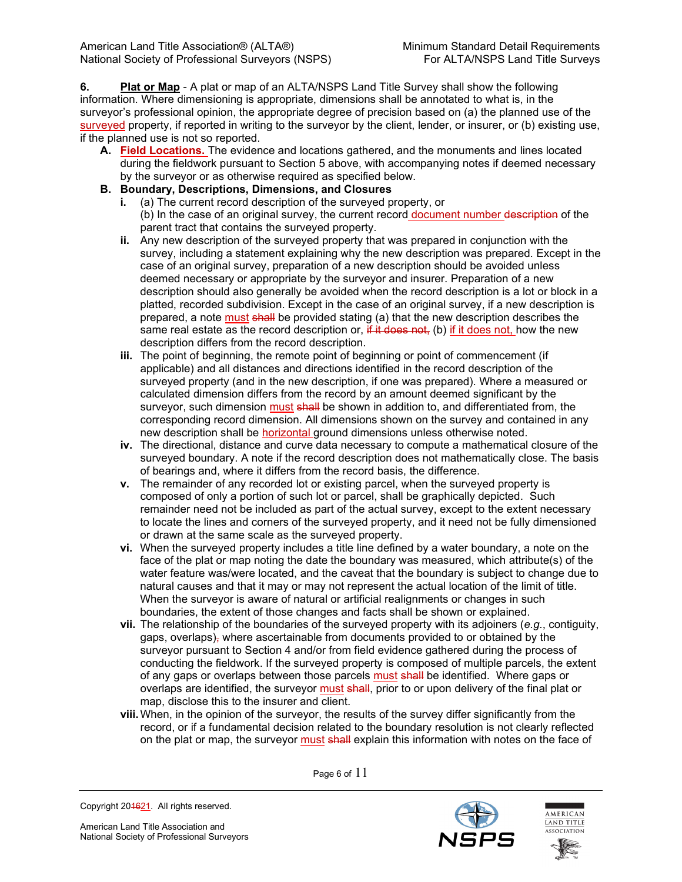**6. Plat or Map** - A plat or map of an ALTA/NSPS Land Title Survey shall show the following information. Where dimensioning is appropriate, dimensions shall be annotated to what is, in the surveyor's professional opinion, the appropriate degree of precision based on (a) the planned use of the surveyed property, if reported in writing to the surveyor by the client, lender, or insurer, or (b) existing use, if the planned use is not so reported.

- **A. Field Locations.** The evidence and locations gathered, and the monuments and lines located during the fieldwork pursuant to Section 5 above, with accompanying notes if deemed necessary by the surveyor or as otherwise required as specified below.
- **B. Boundary, Descriptions, Dimensions, and Closures**
	- **i.** (a) The current record description of the surveyed property, or (b) In the case of an original survey, the current record <u>document number <del>description</del> of the</u> parent tract that contains the surveyed property.
	- **ii.** Any new description of the surveyed property that was prepared in conjunction with the survey, including a statement explaining why the new description was prepared. Except in the case of an original survey, preparation of a new description should be avoided unless deemed necessary or appropriate by the surveyor and insurer. Preparation of a new description should also generally be avoided when the record description is a lot or block in a platted, recorded subdivision. Except in the case of an original survey, if a new description is prepared, a note <u>must</u> shall be provided stating (a) that the new description describes the same real estate as the record description or, <del>if it does not,</del> (b) <u>if it does not, </u>how the new description differs from the record description.
	- **iii.** The point of beginning, the remote point of beginning or point of commencement (if applicable) and all distances and directions identified in the record description of the surveyed property (and in the new description, if one was prepared). Where a measured or calculated dimension differs from the record by an amount deemed significant by the surveyor, such dimension <u>must</u> s<del>hall</del> be shown in addition to, and differentiated from, the corresponding record dimension. All dimensions shown on the survey and contained in any new description shall be <u>horizontal g</u>round dimensions unless otherwise noted.
	- **iv.** The directional, distance and curve data necessary to compute a mathematical closure of the surveyed boundary. A note if the record description does not mathematically close. The basis of bearings and, where it differs from the record basis, the difference.
	- **v.** The remainder of any recorded lot or existing parcel, when the surveyed property is composed of only a portion of such lot or parcel, shall be graphically depicted. Such remainder need not be included as part of the actual survey, except to the extent necessary to locate the lines and corners of the surveyed property, and it need not be fully dimensioned or drawn at the same scale as the surveyed property.
	- **vi.** When the surveyed property includes a title line defined by a water boundary, a note on the face of the plat or map noting the date the boundary was measured, which attribute(s) of the water feature was/were located, and the caveat that the boundary is subject to change due to natural causes and that it may or may not represent the actual location of the limit of title. When the surveyor is aware of natural or artificial realignments or changes in such boundaries, the extent of those changes and facts shall be shown or explained.
	- **vii.**  The relationship of the boundaries of the surveyed property with its adjoiners (*e.g*., contiguity, gaps, overlaps)<del>,</del> where ascertainable from documents provided to or obtained by the surveyor pursuant to Section 4 and/or from field evidence gathered during the process of conducting the fieldwork. If the surveyed property is composed of multiple parcels, the extent of any gaps or overlaps between those parcels <u>must</u> <del>shall</del> be identified. Where gaps or overlaps are identified, the surveyor <u>must</u> s<del>hall</del>, prior to or upon delivery of the final plat or map, disclose this to the insurer and client.
	- **viii.** When, in the opinion of the surveyor, the results of the survey differ significantly from the record, or if a fundamental decision related to the boundary resolution is not clearly reflected on the plat or map, the surveyor <u>must</u> <del>shall</del> explain this information with notes on the face of

Page 6 of  $\,11$ 





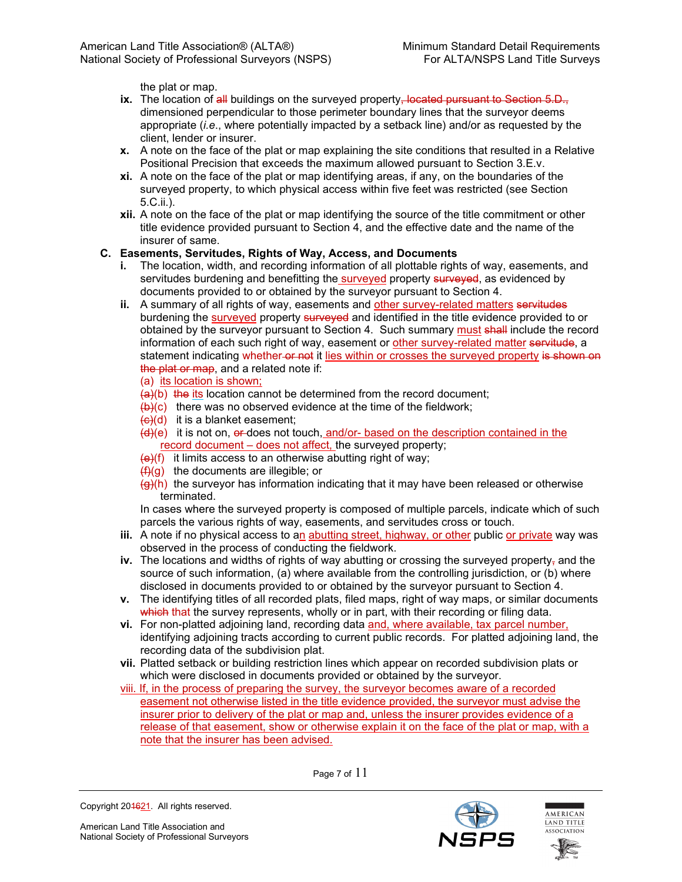the plat or map.

- **ix.** The location of all buildings on the surveyed property<del>, located pursuant to Section 5.D.,</del> dimensioned perpendicular to those perimeter boundary lines that the surveyor deems appropriate (*i.e*., where potentially impacted by a setback line) and/or as requested by the client, lender or insurer.
- **x.** A note on the face of the plat or map explaining the site conditions that resulted in a Relative Positional Precision that exceeds the maximum allowed pursuant to Section 3.E.v.
- **xi.** A note on the face of the plat or map identifying areas, if any, on the boundaries of the surveyed property, to which physical access within five feet was restricted (see Section 5.C.ii.).
- **xii.** A note on the face of the plat or map identifying the source of the title commitment or other title evidence provided pursuant to Section 4, and the effective date and the name of the insurer of same.

#### **C. Easements, Servitudes, Rights of Way, Access, and Documents**

- **i.** The location, width, and recording information of all plottable rights of way, easements, and servitudes burdening and benefitting the surveyed property surveyed, as evidenced by documents provided to or obtained by the surveyor pursuant to Section 4.
- **ii.** A summary of all rights of way, easements and other survey-related matters servitudes burdening the surveyed property surveyed and identified in the title evidence provided to or obtained by the surveyor pursuant to Section 4. Such summary must shall include the record information of each such right of way, easement or other survey-related matter servitude, a statement indicating whether-or not it lies within or crosses the surveyed property is shown on the plat or map, and a related note if:
	- (a) its location is shown;
	- $\overline{a}$  $\overline{b}$ ) the its location cannot be determined from the record document;
	- $\overline{(b)}(c)$  there was no observed evidence at the time of the fieldwork;
	- $\left(\frac{c}{c}\right)$  it is a blanket easement;
	- $(4)(e)$  it is not on,  $e^+$  does not touch, and/or- based on the description contained in the record document – does not affect, the surveyed property;
	- $\left(\frac{e}{r}\right)$  it limits access to an otherwise abutting right of way;
	- $(f)(g)$  the documents are illegible; or
	- $\overline{(\theta)}$ (h) the surveyor has information indicating that it may have been released or otherwise terminated.

In cases where the surveyed property is composed of multiple parcels, indicate which of such parcels the various rights of way, easements, and servitudes cross or touch.

- **iii.** A note if no physical access to an abutting street, highway, or other public or private way was observed in the process of conducting the fieldwork.
- **iv.** The locations and widths of rights of way abutting or crossing the surveyed property<sub>r</sub> and the source of such information, (a) where available from the controlling jurisdiction, or (b) where disclosed in documents provided to or obtained by the surveyor pursuant to Section 4.
- **v.** The identifying titles of all recorded plats, filed maps, right of way maps, or similar documents which that the survey represents, wholly or in part, with their recording or filing data.
- **vi.** For non-platted adjoining land, recording data and, where available, tax parcel number, identifying adjoining tracts according to current public records. For platted adjoining land, the recording data of the subdivision plat.
- **vii.** Platted setback or building restriction lines which appear on recorded subdivision plats or which were disclosed in documents provided or obtained by the surveyor.
- viii. If, in the process of preparing the survey, the surveyor becomes aware of a recorded easement not otherwise listed in the title evidence provided, the surveyor must advise the insurer prior to delivery of the plat or map and, unless the insurer provides evidence of a release of that easement, show or otherwise explain it on the face of the plat or map, with a note that the insurer has been advised.

Page 7 of  $11$ 





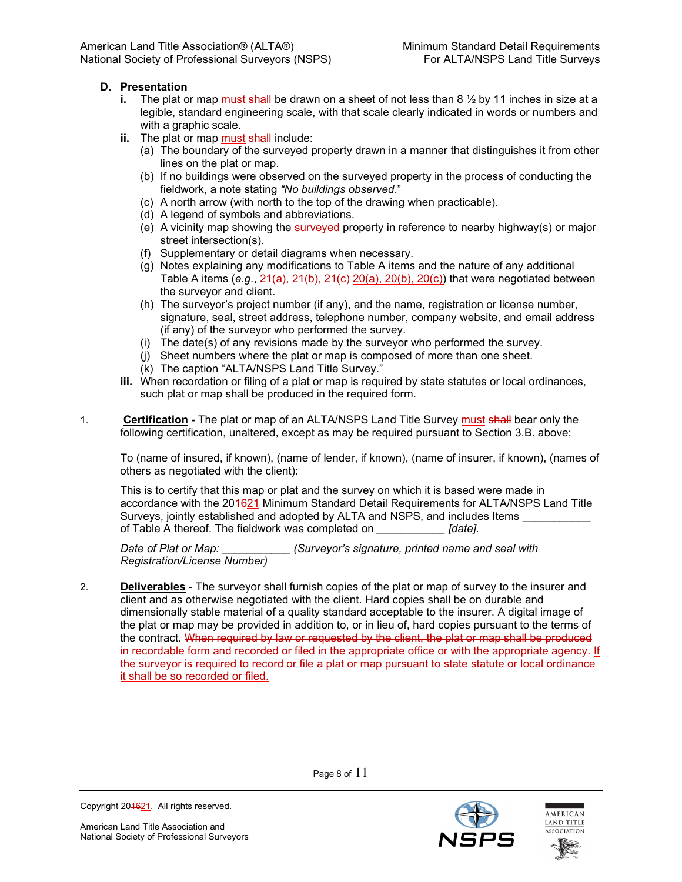#### **D. Presentation**

- **i.** The plat or map must shall be drawn on a sheet of not less than 8  $\frac{1}{2}$  by 11 inches in size at a legible, standard engineering scale, with that scale clearly indicated in words or numbers and with a graphic scale.
- **ii.** The plat or map must shall include:
	- (a) The boundary of the surveyed property drawn in a manner that distinguishes it from other lines on the plat or map.
	- (b) If no buildings were observed on the surveyed property in the process of conducting the fieldwork, a note stating *"No buildings observed*."
	- (c) A north arrow (with north to the top of the drawing when practicable).
	- (d) A legend of symbols and abbreviations.
	- (e) A vicinity map showing the surveyed property in reference to nearby highway(s) or major street intersection(s).
	- (f) Supplementary or detail diagrams when necessary.
	- (g) Notes explaining any modifications to Table A items and the nature of any additional Table A items (e.g., 21(a), 21(b), 21(c) 20(a), 20(b), 20(c)) that were negotiated between the surveyor and client.
	- (h) The surveyor's project number (if any), and the name, registration or license number, signature, seal, street address, telephone number, company website, and email address (if any) of the surveyor who performed the survey.
	- (i) The date(s) of any revisions made by the surveyor who performed the survey.
	- (j) Sheet numbers where the plat or map is composed of more than one sheet.
	- (k) The caption "ALTA/NSPS Land Title Survey."
- **iii.** When recordation or filing of a plat or map is required by state statutes or local ordinances, such plat or map shall be produced in the required form.
- 1. **Certification** The plat or map of an ALTA/NSPS Land Title Survey must shall bear only the following certification, unaltered, except as may be required pursuant to Section 3.B. above:

To (name of insured, if known), (name of lender, if known), (name of insurer, if known), (names of others as negotiated with the client):

This is to certify that this map or plat and the survey on which it is based were made in accordance with the 204621 Minimum Standard Detail Requirements for ALTA/NSPS Land Title Surveys, jointly established and adopted by ALTA and NSPS, and includes Items of Table A thereof. The fieldwork was completed on *\_\_\_\_\_\_\_\_\_\_\_ [date].*

*Date of Plat or Map: \_\_\_\_\_\_\_\_\_\_\_ (Surveyor's signature, printed name and seal with Registration/License Number)*

2. **Deliverables** - The surveyor shall furnish copies of the plat or map of survey to the insurer and client and as otherwise negotiated with the client. Hard copies shall be on durable and dimensionally stable material of a quality standard acceptable to the insurer. A digital image of the plat or map may be provided in addition to, or in lieu of, hard copies pursuant to the terms of the contract. When required by law or requested by the client, the plat or map shall be produced in recordable form and recorded or filed in the appropriate office or with the appropriate agency. If the surveyor is required to record or file a plat or map pursuant to state statute or local ordinance it shall be so recorded or filed.

Copyright 201621. All rights reserved.

Page 8 of  $11$ 



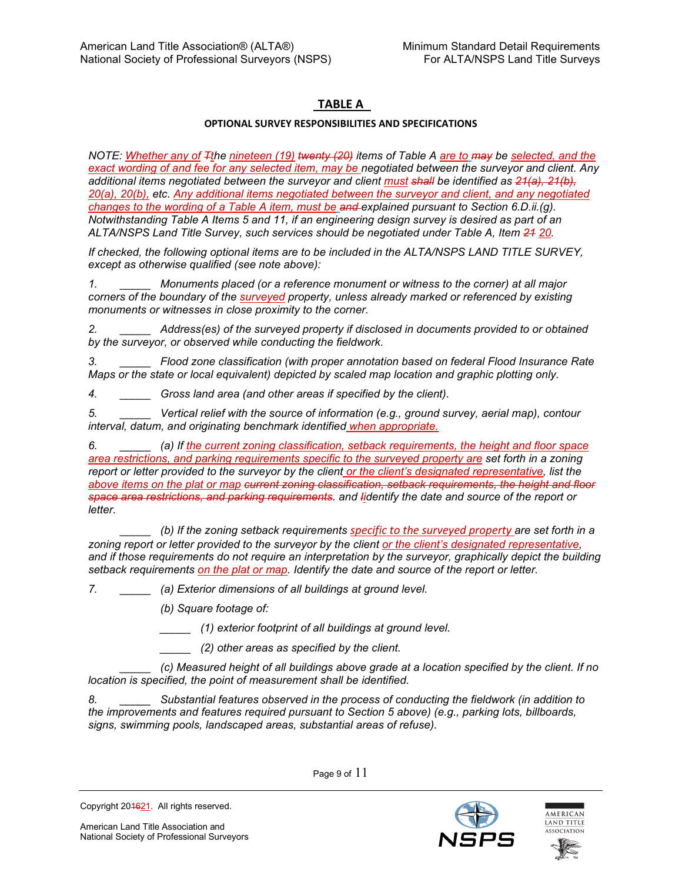## **TABLE A**

#### **OPTIONAL SURVEY RESPONSIBILITIES AND SPECIFICATIONS**

NOTE: Whether any of <sub>the nineteen</sub> (19) twenty (20) items of Table A are to may be selected, and the exact wording of and fee for any selected item, may be negotiated between the surveyor and client. Any *additional items negotiated between the surveyor and client must shall be identified as 21(a), 21(b), 20(a), 20(b), etc. Any additional items negotiated between the surveyor and client, and any negotiated changes to the wording of a Table A item, must be and explained pursuant to Section 6.D.ii.(g). Notwithstanding Table A Items 5 and 11, if an engineering design survey is desired as part of an ALTA/NSPS Land Title Survey, such services should be negotiated under Table A, Item 21 20.* 

*If checked, the following optional items are to be included in the ALTA/NSPS LAND TITLE SURVEY, except as otherwise qualified (see note above):*

*1. \_\_\_\_\_ Monuments placed (or a reference monument or witness to the corner) at all major corners of the boundary of the surveyed property, unless already marked or referenced by existing monuments or witnesses in close proximity to the corner.*

*2. \_\_\_\_\_ Address(es) of the surveyed property if disclosed in documents provided to or obtained by the surveyor, or observed while conducting the fieldwork.*

*3. \_\_\_\_\_ Flood zone classification (with proper annotation based on federal Flood Insurance Rate Maps or the state or local equivalent) depicted by scaled map location and graphic plotting only.*

*4. \_\_\_\_\_ Gross land area (and other areas if specified by the client).*

*5. \_\_\_\_\_ Vertical relief with the source of information (e.g., ground survey, aerial map), contour interval, datum, and originating benchmark identified when appropriate.*

*6. \_\_\_\_\_ (a) If the current zoning classification, setback requirements, the height and floor space area restrictions, and parking requirements specific to the surveyed property are set forth in a zoning report or letter provided to the surveyor by the client or the client's designated representative, list the above items on the plat or map current zoning classification, setback requirements, the height and floor space area restrictions, and parking requirements. and Iidentify the date and source of the report or letter.*

*\_\_\_\_\_ (b) If the zoning setback requirements specific to the surveyed property are set forth in a zoning report or letter provided to the surveyor by the client or the client's designated representative, and if those requirements do not require an interpretation by the surveyor, graphically depict the building setback requirements on the plat or map. Identify the date and source of the report or letter.*

*7. \_\_\_\_\_ (a) Exterior dimensions of all buildings at ground level.*

 *(b) Square footage of:*

 *\_\_\_\_\_ (1) exterior footprint of all buildings at ground level.*

 *\_\_\_\_\_ (2) other areas as specified by the client.*

*\_\_\_\_\_ (c) Measured height of all buildings above grade at a location specified by the client. If no location is specified, the point of measurement shall be identified.*

*8. \_\_\_\_\_ Substantial features observed in the process of conducting the fieldwork (in addition to the improvements and features required pursuant to Section 5 above) (e.g., parking lots, billboards, signs, swimming pools, landscaped areas, substantial areas of refuse).*

Page 9 of  $11$ 





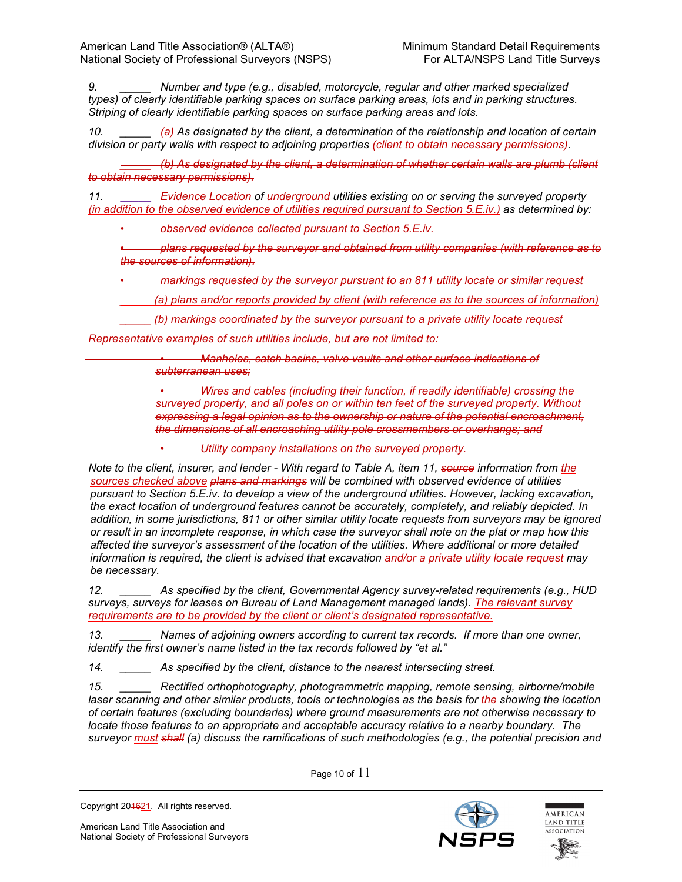*9. \_\_\_\_\_ Number and type (e.g., disabled, motorcycle, regular and other marked specialized types) of clearly identifiable parking spaces on surface parking areas, lots and in parking structures. Striping of clearly identifiable parking spaces on surface parking areas and lots.*

*10. \_\_\_\_\_ (a) As designated by the client, a determination of the relationship and location of certain division or party walls with respect to adjoining properties (client to obtain necessary permissions).* 

*\_\_\_\_\_ (b) As designated by the client, a determination of whether certain walls are plumb (client to obtain necessary permissions).*

*11. \_\_\_\_\_ Evidence Location of underground utilities existing on or serving the surveyed property (in addition to the observed evidence of utilities required pursuant to Section 5.E.iv.) as determined by:*

*• observed evidence collected pursuant to Section 5.E.iv.*

*• plans requested by the surveyor and obtained from utility companies (with reference as to the sources of information).*

*• markings requested by the surveyor pursuant to an 811 utility locate or similar request*

*\_\_\_\_\_ (a) plans and/or reports provided by client (with reference as to the sources of information)*

*\_\_\_\_\_ (b) markings coordinated by the surveyor pursuant to a private utility locate request*

*Representative examples of such utilities include, but are not limited to:*

*• Manholes, catch basins, valve vaults and other surface indications of subterranean uses;*

 *• Wires and cables (including their function, if readily identifiable) crossing the surveyed property, and all poles on or within ten feet of the surveyed property. Without expressing a legal opinion as to the ownership or nature of the potential encroachment, the dimensions of all encroaching utility pole crossmembers or overhangs; and*

 *• Utility company installations on the surveyed property.*

*Note to the client, insurer, and lender - With regard to Table A, item 11, source information from the sources checked above plans and markings will be combined with observed evidence of utilities pursuant to Section 5.E.iv. to develop a view of the underground utilities. However, lacking excavation, the exact location of underground features cannot be accurately, completely, and reliably depicted. In addition, in some jurisdictions, 811 or other similar utility locate requests from surveyors may be ignored* or result in an incomplete response, in which case the surveyor shall note on the plat or map how this *affected the surveyor's assessment of the location of the utilities. Where additional or more detailed information is required, the client is advised that excavation and/or a private utility locate request may be necessary.*

*12. \_\_\_\_\_ As specified by the client, Governmental Agency survey-related requirements (e.g., HUD surveys, surveys for leases on Bureau of Land Management managed lands). The relevant survey requirements are to be provided by the client or client's designated representative.*

*13. \_\_\_\_\_ Names of adjoining owners according to current tax records. If more than one owner, identify the first owner's name listed in the tax records followed by "et al."*

*14. \_\_\_\_\_ As specified by the client, distance to the nearest intersecting street.*

*15. \_\_\_\_\_ Rectified orthophotography, photogrammetric mapping, remote sensing, airborne/mobile* laser scanning and other similar products, tools or technologies as the basis for the showing the location *of certain features (excluding boundaries) where ground measurements are not otherwise necessary to locate those features to an appropriate and acceptable accuracy relative to a nearby boundary. The surveyor must shall (a) discuss the ramifications of such methodologies (e.g., the potential precision and*

Page 10 of  $11$ 





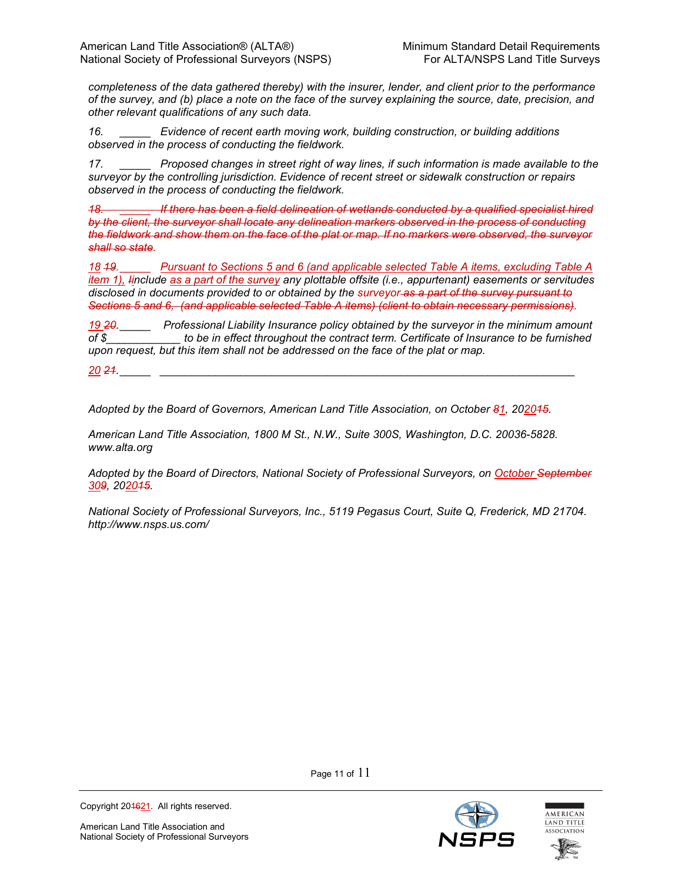*completeness of the data gathered thereby) with the insurer, lender, and client prior to the performance* of the survey, and (b) place a note on the face of the survey explaining the source, date, precision, and *other relevant qualifications of any such data.*

*16. \_\_\_\_\_ Evidence of recent earth moving work, building construction, or building additions observed in the process of conducting the fieldwork.*

17. Proposed changes in street right of way lines, if such information is made available to the *surveyor by the controlling jurisdiction. Evidence of recent street or sidewalk construction or repairs observed in the process of conducting the fieldwork.*

*18. \_\_\_\_\_ If there has been a field delineation of wetlands conducted by a qualified specialist hired by the client, the surveyor shall locate any delineation markers observed in the process of conducting* the fieldwork and show them on the face of the plat or map. If no markers were observed, the survevor *shall so state.* 

*18 19. \_\_\_\_\_ Pursuant to Sections 5 and 6 (and applicable selected Table A items, excluding Table A item 1), Iinclude as a part of the survey any plottable offsite (i.e., appurtenant) easements or servitudes disclosed in documents provided to or obtained by the surveyor as a part of the survey pursuant to Sections 5 and 6, (and applicable selected Table A items) (client to obtain necessary permissions).*

*19 20. \_\_\_\_\_ Professional Liability Insurance policy obtained by the surveyor in the minimum amount of \$\_\_\_\_\_\_\_\_\_\_\_\_ to be in effect throughout the contract term. Certificate of Insurance to be furnished upon request, but this item shall not be addressed on the face of the plat or map.*

*20 21. \_\_\_\_\_ \_\_\_\_\_\_\_\_\_\_\_\_\_\_\_\_\_\_\_\_\_\_\_\_\_\_\_\_\_\_\_\_\_\_\_\_\_\_\_\_\_\_\_\_\_\_\_\_\_\_\_\_\_\_\_\_\_\_\_\_\_\_\_\_\_\_\_*

*Adopted by the Board of Governors, American Land Title Association, on October 81, 202015.* 

*American Land Title Association, 1800 M St., N.W., Suite 300S, Washington, D.C. 20036-5828. www.alta.org*

*Adopted by the Board of Directors, National Society of Professional Surveyors, on October September 309, 202015.* 

*National Society of Professional Surveyors, Inc., 5119 Pegasus Court, Suite Q, Frederick, MD 21704. http://www.nsps.us.com/*



**AMERICAN** LAND TITLE **ASSOCIATION** 

Page 11 of  $11$ 

Copyright 201621. All rights reserved.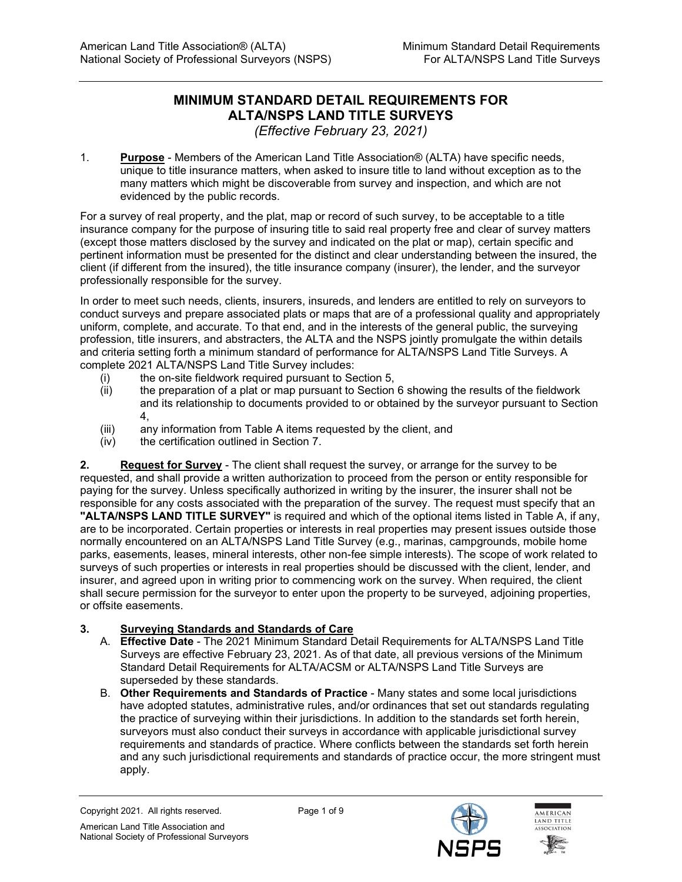# **MINIMUM STANDARD DETAIL REQUIREMENTS FOR ALTA/NSPS LAND TITLE SURVEYS**

*(Effective February 23, 2021)*

1. **Purpose** - Members of the American Land Title Association® (ALTA) have specific needs, unique to title insurance matters, when asked to insure title to land without exception as to the many matters which might be discoverable from survey and inspection, and which are not evidenced by the public records.

For a survey of real property, and the plat, map or record of such survey, to be acceptable to a title insurance company for the purpose of insuring title to said real property free and clear of survey matters (except those matters disclosed by the survey and indicated on the plat or map), certain specific and pertinent information must be presented for the distinct and clear understanding between the insured, the client (if different from the insured), the title insurance company (insurer), the lender, and the surveyor professionally responsible for the survey.

In order to meet such needs, clients, insurers, insureds, and lenders are entitled to rely on surveyors to conduct surveys and prepare associated plats or maps that are of a professional quality and appropriately uniform, complete, and accurate. To that end, and in the interests of the general public, the surveying profession, title insurers, and abstracters, the ALTA and the NSPS jointly promulgate the within details and criteria setting forth a minimum standard of performance for ALTA/NSPS Land Title Surveys. A complete 2021 ALTA/NSPS Land Title Survey includes:

- $(i)$  the on-site fieldwork required pursuant to Section 5,
- $(i)$  the preparation of a plat or map pursuant to Section 6 showing the results of the fieldwork and its relationship to documents provided to or obtained by the surveyor pursuant to Section 4,
- (iii) any information from Table A items requested by the client, and
- (iv) the certification outlined in Section 7.

**2. Request for Survey** - The client shall request the survey, or arrange for the survey to be requested, and shall provide a written authorization to proceed from the person or entity responsible for paying for the survey. Unless specifically authorized in writing by the insurer, the insurer shall not be responsible for any costs associated with the preparation of the survey. The request must specify that an **"ALTA/NSPS LAND TITLE SURVEY"** is required and which of the optional items listed in Table A, if any, are to be incorporated. Certain properties or interests in real properties may present issues outside those normally encountered on an ALTA/NSPS Land Title Survey (e.g., marinas, campgrounds, mobile home parks, easements, leases, mineral interests, other non-fee simple interests). The scope of work related to surveys of such properties or interests in real properties should be discussed with the client, lender, and insurer, and agreed upon in writing prior to commencing work on the survey. When required, the client shall secure permission for the surveyor to enter upon the property to be surveyed, adjoining properties, or offsite easements.

### **3. Surveying Standards and Standards of Care**

- A. **Effective Date** The 2021 Minimum Standard Detail Requirements for ALTA/NSPS Land Title Surveys are effective February 23, 2021. As of that date, all previous versions of the Minimum Standard Detail Requirements for ALTA/ACSM or ALTA/NSPS Land Title Surveys are superseded by these standards.
- B. **Other Requirements and Standards of Practice** Many states and some local jurisdictions have adopted statutes, administrative rules, and/or ordinances that set out standards regulating the practice of surveying within their jurisdictions. In addition to the standards set forth herein, surveyors must also conduct their surveys in accordance with applicable jurisdictional survey requirements and standards of practice. Where conflicts between the standards set forth herein and any such jurisdictional requirements and standards of practice occur, the more stringent must apply.



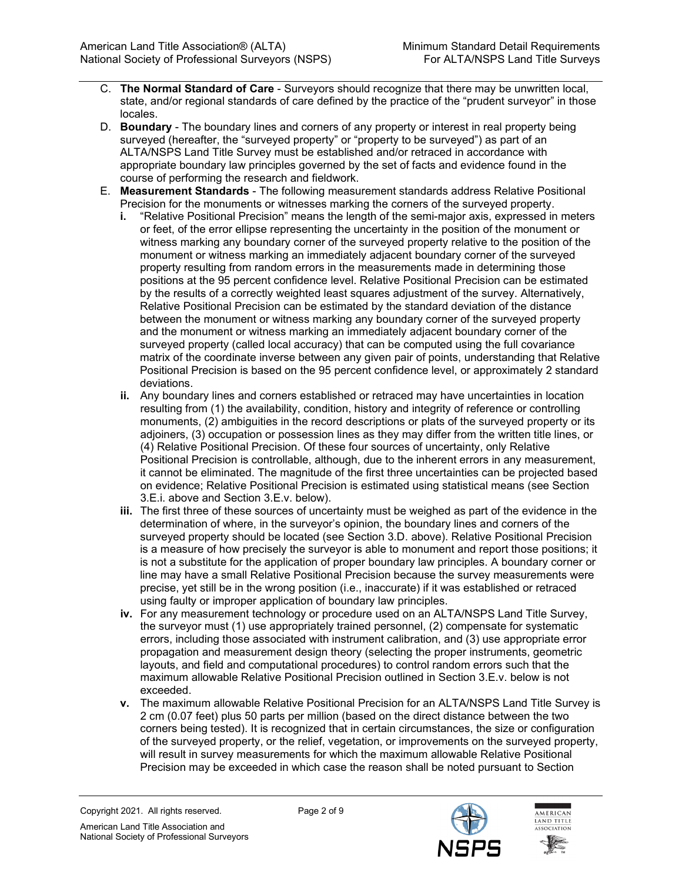- C. **The Normal Standard of Care** Surveyors should recognize that there may be unwritten local, state, and/or regional standards of care defined by the practice of the "prudent surveyor" in those locales.
- D. **Boundary** The boundary lines and corners of any property or interest in real property being surveyed (hereafter, the "surveyed property" or "property to be surveyed") as part of an ALTA/NSPS Land Title Survey must be established and/or retraced in accordance with appropriate boundary law principles governed by the set of facts and evidence found in the course of performing the research and fieldwork.
- E. **Measurement Standards** The following measurement standards address Relative Positional Precision for the monuments or witnesses marking the corners of the surveyed property.
	- **i.** "Relative Positional Precision" means the length of the semi-major axis, expressed in meters or feet, of the error ellipse representing the uncertainty in the position of the monument or witness marking any boundary corner of the surveyed property relative to the position of the monument or witness marking an immediately adjacent boundary corner of the surveyed property resulting from random errors in the measurements made in determining those positions at the 95 percent confidence level. Relative Positional Precision can be estimated by the results of a correctly weighted least squares adjustment of the survey. Alternatively, Relative Positional Precision can be estimated by the standard deviation of the distance between the monument or witness marking any boundary corner of the surveyed property and the monument or witness marking an immediately adjacent boundary corner of the surveyed property (called local accuracy) that can be computed using the full covariance matrix of the coordinate inverse between any given pair of points, understanding that Relative Positional Precision is based on the 95 percent confidence level, or approximately 2 standard deviations.
	- **ii.** Any boundary lines and corners established or retraced may have uncertainties in location resulting from (1) the availability, condition, history and integrity of reference or controlling monuments, (2) ambiguities in the record descriptions or plats of the surveyed property or its adjoiners, (3) occupation or possession lines as they may differ from the written title lines, or (4) Relative Positional Precision. Of these four sources of uncertainty, only Relative Positional Precision is controllable, although, due to the inherent errors in any measurement, it cannot be eliminated. The magnitude of the first three uncertainties can be projected based on evidence; Relative Positional Precision is estimated using statistical means (see Section 3.E.i. above and Section 3.E.v. below).
	- **iii.** The first three of these sources of uncertainty must be weighed as part of the evidence in the determination of where, in the surveyor's opinion, the boundary lines and corners of the surveyed property should be located (see Section 3.D. above). Relative Positional Precision is a measure of how precisely the surveyor is able to monument and report those positions; it is not a substitute for the application of proper boundary law principles. A boundary corner or line may have a small Relative Positional Precision because the survey measurements were precise, yet still be in the wrong position (i.e., inaccurate) if it was established or retraced using faulty or improper application of boundary law principles.
	- **iv.** For any measurement technology or procedure used on an ALTA/NSPS Land Title Survey, the surveyor must (1) use appropriately trained personnel, (2) compensate for systematic errors, including those associated with instrument calibration, and (3) use appropriate error propagation and measurement design theory (selecting the proper instruments, geometric layouts, and field and computational procedures) to control random errors such that the maximum allowable Relative Positional Precision outlined in Section 3.E.v. below is not exceeded.
	- **v.** The maximum allowable Relative Positional Precision for an ALTA/NSPS Land Title Survey is 2 cm (0.07 feet) plus 50 parts per million (based on the direct distance between the two corners being tested). It is recognized that in certain circumstances, the size or configuration of the surveyed property, or the relief, vegetation, or improvements on the surveyed property, will result in survey measurements for which the maximum allowable Relative Positional Precision may be exceeded in which case the reason shall be noted pursuant to Section



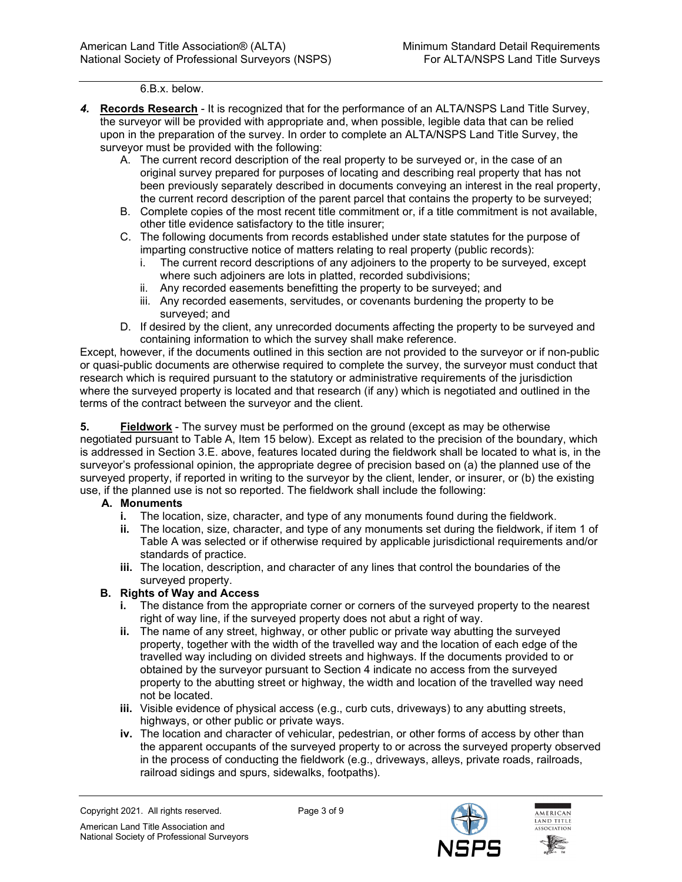#### 6.B.x. below.

- *4.* **Records Research** It is recognized that for the performance of an ALTA/NSPS Land Title Survey, the surveyor will be provided with appropriate and, when possible, legible data that can be relied upon in the preparation of the survey. In order to complete an ALTA/NSPS Land Title Survey, the surveyor must be provided with the following:
	- A. The current record description of the real property to be surveyed or, in the case of an original survey prepared for purposes of locating and describing real property that has not been previously separately described in documents conveying an interest in the real property, the current record description of the parent parcel that contains the property to be surveyed;
	- B. Complete copies of the most recent title commitment or, if a title commitment is not available, other title evidence satisfactory to the title insurer;
	- C. The following documents from records established under state statutes for the purpose of imparting constructive notice of matters relating to real property (public records):
		- i. The current record descriptions of any adjoiners to the property to be surveyed, except where such adjoiners are lots in platted, recorded subdivisions;
		- ii. Any recorded easements benefitting the property to be surveyed; and
		- iii. Any recorded easements, servitudes, or covenants burdening the property to be surveyed; and
	- D. If desired by the client, any unrecorded documents affecting the property to be surveyed and containing information to which the survey shall make reference.

Except, however, if the documents outlined in this section are not provided to the surveyor or if non-public or quasi-public documents are otherwise required to complete the survey, the surveyor must conduct that research which is required pursuant to the statutory or administrative requirements of the jurisdiction where the surveyed property is located and that research (if any) which is negotiated and outlined in the terms of the contract between the surveyor and the client.

**5. Fieldwork** - The survey must be performed on the ground (except as may be otherwise negotiated pursuant to Table A, Item 15 below). Except as related to the precision of the boundary, which is addressed in Section 3.E. above, features located during the fieldwork shall be located to what is, in the surveyor's professional opinion, the appropriate degree of precision based on (a) the planned use of the surveyed property, if reported in writing to the surveyor by the client, lender, or insurer, or (b) the existing use, if the planned use is not so reported. The fieldwork shall include the following:

#### **A. Monuments**

- **i.** The location, size, character, and type of any monuments found during the fieldwork.
- **ii.** The location, size, character, and type of any monuments set during the fieldwork, if item 1 of Table A was selected or if otherwise required by applicable jurisdictional requirements and/or standards of practice.
- **iii.** The location, description, and character of any lines that control the boundaries of the surveyed property.

#### **B. Rights of Way and Access**

- **i.** The distance from the appropriate corner or corners of the surveyed property to the nearest right of way line, if the surveyed property does not abut a right of way.
- **ii.** The name of any street, highway, or other public or private way abutting the surveyed property, together with the width of the travelled way and the location of each edge of the travelled way including on divided streets and highways. If the documents provided to or obtained by the surveyor pursuant to Section 4 indicate no access from the surveyed property to the abutting street or highway, the width and location of the travelled way need not be located.
- **iii.** Visible evidence of physical access (e.g., curb cuts, driveways) to any abutting streets, highways, or other public or private ways.
- **iv.** The location and character of vehicular, pedestrian, or other forms of access by other than the apparent occupants of the surveyed property to or across the surveyed property observed in the process of conducting the fieldwork (e.g., driveways, alleys, private roads, railroads, railroad sidings and spurs, sidewalks, footpaths).



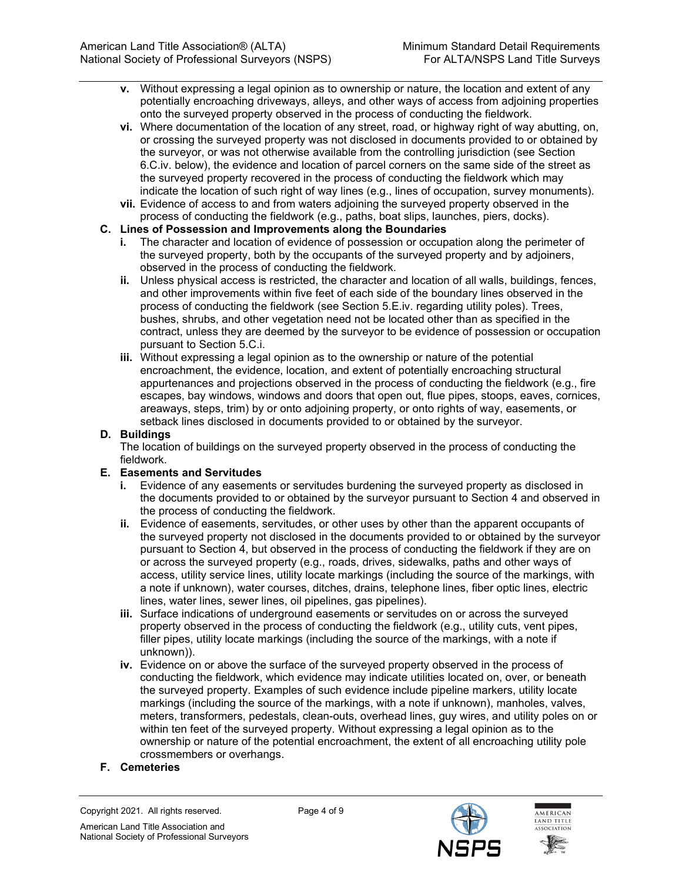- **v.** Without expressing a legal opinion as to ownership or nature, the location and extent of any potentially encroaching driveways, alleys, and other ways of access from adjoining properties onto the surveyed property observed in the process of conducting the fieldwork.
- **vi.** Where documentation of the location of any street, road, or highway right of way abutting, on, or crossing the surveyed property was not disclosed in documents provided to or obtained by the surveyor, or was not otherwise available from the controlling jurisdiction (see Section 6.C.iv. below), the evidence and location of parcel corners on the same side of the street as the surveyed property recovered in the process of conducting the fieldwork which may indicate the location of such right of way lines (e.g., lines of occupation, survey monuments).
- **vii.** Evidence of access to and from waters adjoining the surveyed property observed in the process of conducting the fieldwork (e.g., paths, boat slips, launches, piers, docks).

#### **C. Lines of Possession and Improvements along the Boundaries**

- **i.** The character and location of evidence of possession or occupation along the perimeter of the surveyed property, both by the occupants of the surveyed property and by adjoiners, observed in the process of conducting the fieldwork.
- **ii.** Unless physical access is restricted, the character and location of all walls, buildings, fences, and other improvements within five feet of each side of the boundary lines observed in the process of conducting the fieldwork (see Section 5.E.iv. regarding utility poles). Trees, bushes, shrubs, and other vegetation need not be located other than as specified in the contract, unless they are deemed by the surveyor to be evidence of possession or occupation pursuant to Section 5.C.i.
- **iii.** Without expressing a legal opinion as to the ownership or nature of the potential encroachment, the evidence, location, and extent of potentially encroaching structural appurtenances and projections observed in the process of conducting the fieldwork (e.g., fire escapes, bay windows, windows and doors that open out, flue pipes, stoops, eaves, cornices, areaways, steps, trim) by or onto adjoining property, or onto rights of way, easements, or setback lines disclosed in documents provided to or obtained by the surveyor.

#### **D. Buildings**

The location of buildings on the surveyed property observed in the process of conducting the fieldwork.

#### **E. Easements and Servitudes**

- **i.** Evidence of any easements or servitudes burdening the surveyed property as disclosed in the documents provided to or obtained by the surveyor pursuant to Section 4 and observed in the process of conducting the fieldwork.
- **ii.** Evidence of easements, servitudes, or other uses by other than the apparent occupants of the surveyed property not disclosed in the documents provided to or obtained by the surveyor pursuant to Section 4, but observed in the process of conducting the fieldwork if they are on or across the surveyed property (e.g., roads, drives, sidewalks, paths and other ways of access, utility service lines, utility locate markings (including the source of the markings, with a note if unknown), water courses, ditches, drains, telephone lines, fiber optic lines, electric lines, water lines, sewer lines, oil pipelines, gas pipelines).
- **iii.** Surface indications of underground easements or servitudes on or across the surveyed property observed in the process of conducting the fieldwork (e.g., utility cuts, vent pipes, filler pipes, utility locate markings (including the source of the markings, with a note if unknown)).
- **iv.** Evidence on or above the surface of the surveyed property observed in the process of conducting the fieldwork, which evidence may indicate utilities located on, over, or beneath the surveyed property. Examples of such evidence include pipeline markers, utility locate markings (including the source of the markings, with a note if unknown), manholes, valves, meters, transformers, pedestals, clean-outs, overhead lines, guy wires, and utility poles on or within ten feet of the surveyed property. Without expressing a legal opinion as to the ownership or nature of the potential encroachment, the extent of all encroaching utility pole crossmembers or overhangs.
- **F. Cemeteries**



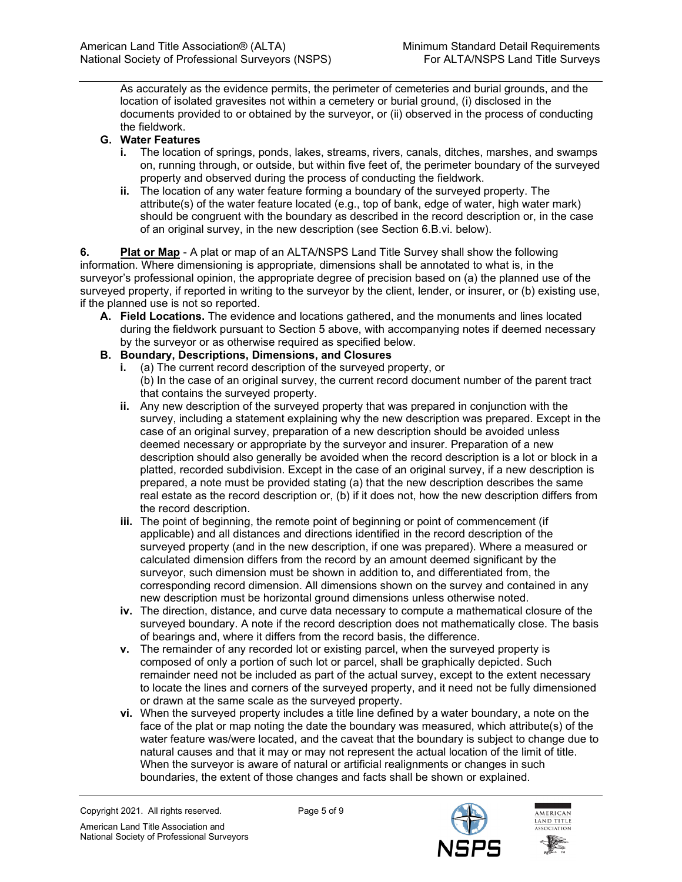As accurately as the evidence permits, the perimeter of cemeteries and burial grounds, and the location of isolated gravesites not within a cemetery or burial ground, (i) disclosed in the documents provided to or obtained by the surveyor, or (ii) observed in the process of conducting the fieldwork.

### **G. Water Features**

- **i.** The location of springs, ponds, lakes, streams, rivers, canals, ditches, marshes, and swamps on, running through, or outside, but within five feet of, the perimeter boundary of the surveyed property and observed during the process of conducting the fieldwork.
- **ii.** The location of any water feature forming a boundary of the surveyed property. The attribute(s) of the water feature located (e.g., top of bank, edge of water, high water mark) should be congruent with the boundary as described in the record description or, in the case of an original survey, in the new description (see Section 6.B.vi. below).

**6. Plat or Map** - A plat or map of an ALTA/NSPS Land Title Survey shall show the following information. Where dimensioning is appropriate, dimensions shall be annotated to what is, in the surveyor's professional opinion, the appropriate degree of precision based on (a) the planned use of the surveyed property, if reported in writing to the surveyor by the client, lender, or insurer, or (b) existing use, if the planned use is not so reported.

**A. Field Locations.** The evidence and locations gathered, and the monuments and lines located during the fieldwork pursuant to Section 5 above, with accompanying notes if deemed necessary by the surveyor or as otherwise required as specified below.

#### **B. Boundary, Descriptions, Dimensions, and Closures**

- **i.** (a) The current record description of the surveyed property, or (b) In the case of an original survey, the current record document number of the parent tract that contains the surveyed property.
- **ii.** Any new description of the surveyed property that was prepared in conjunction with the survey, including a statement explaining why the new description was prepared. Except in the case of an original survey, preparation of a new description should be avoided unless deemed necessary or appropriate by the surveyor and insurer. Preparation of a new description should also generally be avoided when the record description is a lot or block in a platted, recorded subdivision. Except in the case of an original survey, if a new description is prepared, a note must be provided stating (a) that the new description describes the same real estate as the record description or, (b) if it does not, how the new description differs from the record description.
- **iii.** The point of beginning, the remote point of beginning or point of commencement (if applicable) and all distances and directions identified in the record description of the surveyed property (and in the new description, if one was prepared). Where a measured or calculated dimension differs from the record by an amount deemed significant by the surveyor, such dimension must be shown in addition to, and differentiated from, the corresponding record dimension. All dimensions shown on the survey and contained in any new description must be horizontal ground dimensions unless otherwise noted.
- **iv.** The direction, distance, and curve data necessary to compute a mathematical closure of the surveyed boundary. A note if the record description does not mathematically close. The basis of bearings and, where it differs from the record basis, the difference.
- **v.** The remainder of any recorded lot or existing parcel, when the surveyed property is composed of only a portion of such lot or parcel, shall be graphically depicted. Such remainder need not be included as part of the actual survey, except to the extent necessary to locate the lines and corners of the surveyed property, and it need not be fully dimensioned or drawn at the same scale as the surveyed property.
- **vi.** When the surveyed property includes a title line defined by a water boundary, a note on the face of the plat or map noting the date the boundary was measured, which attribute(s) of the water feature was/were located, and the caveat that the boundary is subject to change due to natural causes and that it may or may not represent the actual location of the limit of title. When the surveyor is aware of natural or artificial realignments or changes in such boundaries, the extent of those changes and facts shall be shown or explained.



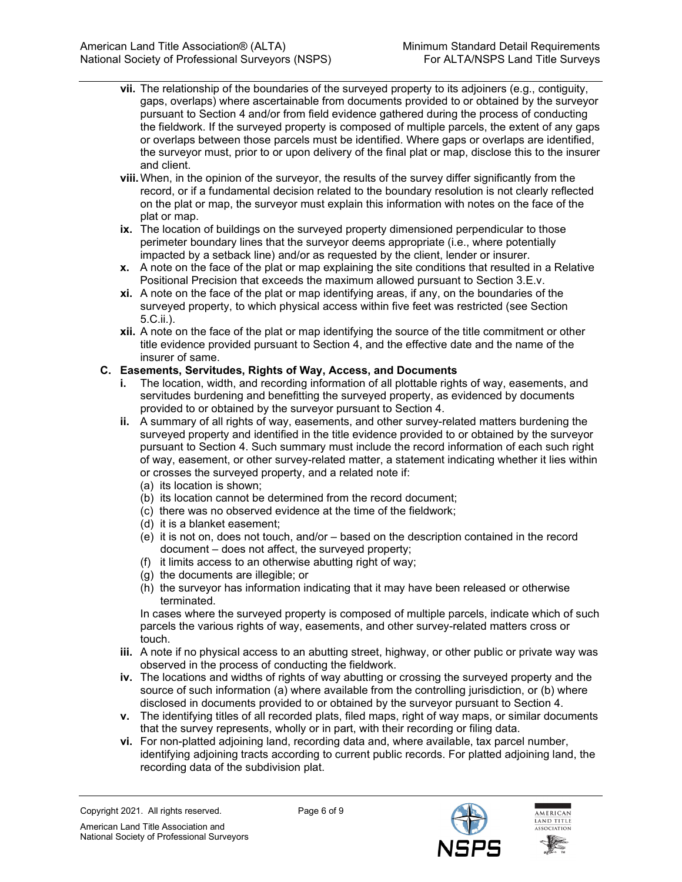- **vii.** The relationship of the boundaries of the surveyed property to its adjoiners (e.g., contiguity, gaps, overlaps) where ascertainable from documents provided to or obtained by the surveyor pursuant to Section 4 and/or from field evidence gathered during the process of conducting the fieldwork. If the surveyed property is composed of multiple parcels, the extent of any gaps or overlaps between those parcels must be identified. Where gaps or overlaps are identified, the surveyor must, prior to or upon delivery of the final plat or map, disclose this to the insurer and client.
- **viii.**When, in the opinion of the surveyor, the results of the survey differ significantly from the record, or if a fundamental decision related to the boundary resolution is not clearly reflected on the plat or map, the surveyor must explain this information with notes on the face of the plat or map.
- **ix.** The location of buildings on the surveyed property dimensioned perpendicular to those perimeter boundary lines that the surveyor deems appropriate (i.e., where potentially impacted by a setback line) and/or as requested by the client, lender or insurer.
- **x.** A note on the face of the plat or map explaining the site conditions that resulted in a Relative Positional Precision that exceeds the maximum allowed pursuant to Section 3.E.v.
- **xi.** A note on the face of the plat or map identifying areas, if any, on the boundaries of the surveyed property, to which physical access within five feet was restricted (see Section 5.C.ii.).
- **xii.** A note on the face of the plat or map identifying the source of the title commitment or other title evidence provided pursuant to Section 4, and the effective date and the name of the insurer of same.

### **C. Easements, Servitudes, Rights of Way, Access, and Documents**

- **i.** The location, width, and recording information of all plottable rights of way, easements, and servitudes burdening and benefitting the surveyed property, as evidenced by documents provided to or obtained by the surveyor pursuant to Section 4.
- **ii.** A summary of all rights of way, easements, and other survey-related matters burdening the surveyed property and identified in the title evidence provided to or obtained by the surveyor pursuant to Section 4. Such summary must include the record information of each such right of way, easement, or other survey-related matter, a statement indicating whether it lies within or crosses the surveyed property, and a related note if:
	- (a) its location is shown;
	- (b) its location cannot be determined from the record document;
	- (c) there was no observed evidence at the time of the fieldwork;
	- (d) it is a blanket easement;
	- (e) it is not on, does not touch, and/or based on the description contained in the record document – does not affect, the surveyed property;
	- (f) it limits access to an otherwise abutting right of way;
	- (g) the documents are illegible; or
	- (h) the surveyor has information indicating that it may have been released or otherwise terminated.

In cases where the surveyed property is composed of multiple parcels, indicate which of such parcels the various rights of way, easements, and other survey-related matters cross or touch.

- **iii.** A note if no physical access to an abutting street, highway, or other public or private way was observed in the process of conducting the fieldwork.
- **iv.** The locations and widths of rights of way abutting or crossing the surveyed property and the source of such information (a) where available from the controlling jurisdiction, or (b) where disclosed in documents provided to or obtained by the surveyor pursuant to Section 4.
- **v.** The identifying titles of all recorded plats, filed maps, right of way maps, or similar documents that the survey represents, wholly or in part, with their recording or filing data.
- **vi.** For non-platted adjoining land, recording data and, where available, tax parcel number, identifying adjoining tracts according to current public records. For platted adjoining land, the recording data of the subdivision plat.



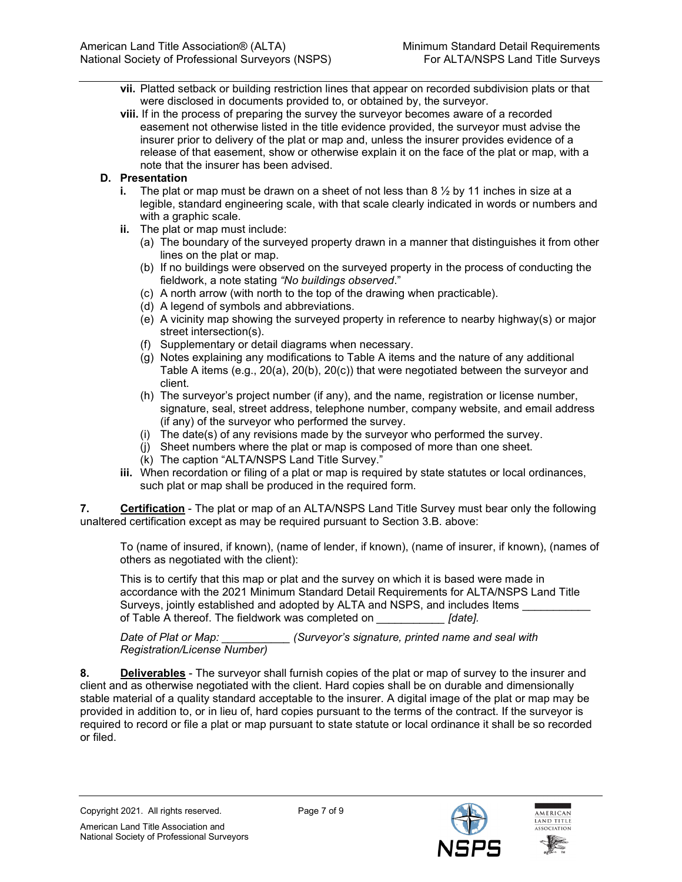- **vii.** Platted setback or building restriction lines that appear on recorded subdivision plats or that were disclosed in documents provided to, or obtained by, the surveyor.
- **viii.** If in the process of preparing the survey the surveyor becomes aware of a recorded easement not otherwise listed in the title evidence provided, the surveyor must advise the insurer prior to delivery of the plat or map and, unless the insurer provides evidence of a release of that easement, show or otherwise explain it on the face of the plat or map, with a note that the insurer has been advised.

#### **D. Presentation**

- **i.** The plat or map must be drawn on a sheet of not less than 8 ½ by 11 inches in size at a legible, standard engineering scale, with that scale clearly indicated in words or numbers and with a graphic scale.
- **ii.** The plat or map must include:
	- (a) The boundary of the surveyed property drawn in a manner that distinguishes it from other lines on the plat or map.
	- (b) If no buildings were observed on the surveyed property in the process of conducting the fieldwork, a note stating *"No buildings observed*."
	- (c) A north arrow (with north to the top of the drawing when practicable).
	- (d) A legend of symbols and abbreviations.
	- (e) A vicinity map showing the surveyed property in reference to nearby highway(s) or major street intersection(s).
	- (f) Supplementary or detail diagrams when necessary.
	- (g) Notes explaining any modifications to Table A items and the nature of any additional Table A items (e.g.,  $20(a)$ ,  $20(b)$ ,  $20(c)$ ) that were negotiated between the surveyor and client.
	- (h) The surveyor's project number (if any), and the name, registration or license number, signature, seal, street address, telephone number, company website, and email address (if any) of the surveyor who performed the survey.
	- (i) The date(s) of any revisions made by the surveyor who performed the survey.
	- (j) Sheet numbers where the plat or map is composed of more than one sheet.
	- (k) The caption "ALTA/NSPS Land Title Survey."
- **iii.** When recordation or filing of a plat or map is required by state statutes or local ordinances, such plat or map shall be produced in the required form.

**7. Certification** - The plat or map of an ALTA/NSPS Land Title Survey must bear only the following unaltered certification except as may be required pursuant to Section 3.B. above:

To (name of insured, if known), (name of lender, if known), (name of insurer, if known), (names of others as negotiated with the client):

This is to certify that this map or plat and the survey on which it is based were made in accordance with the 2021 Minimum Standard Detail Requirements for ALTA/NSPS Land Title Surveys, jointly established and adopted by ALTA and NSPS, and includes Items of Table A thereof. The fieldwork was completed on *\_\_\_\_\_\_\_\_\_\_\_ [date].*

*Date of Plat or Map: \_\_\_\_\_\_\_\_\_\_\_ (Surveyor's signature, printed name and seal with Registration/License Number)*

**8. Deliverables** - The surveyor shall furnish copies of the plat or map of survey to the insurer and client and as otherwise negotiated with the client. Hard copies shall be on durable and dimensionally stable material of a quality standard acceptable to the insurer. A digital image of the plat or map may be provided in addition to, or in lieu of, hard copies pursuant to the terms of the contract. If the surveyor is required to record or file a plat or map pursuant to state statute or local ordinance it shall be so recorded or filed.

Copyright 2021. All rights reserved. Page 7 of 9



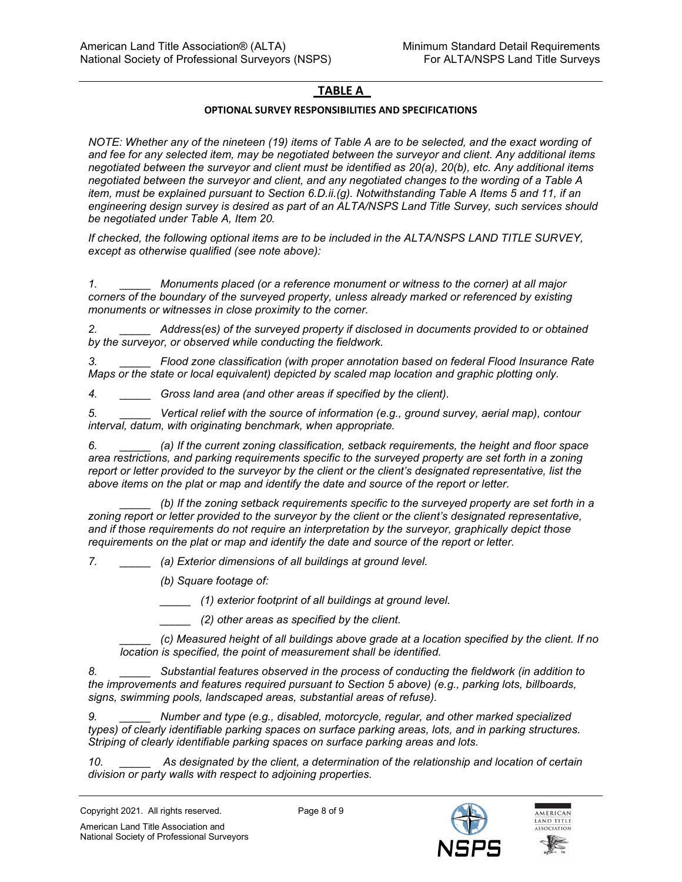## **TABLE A**

#### **OPTIONAL SURVEY RESPONSIBILITIES AND SPECIFICATIONS**

NOTE: Whether any of the nineteen (19) items of Table A are to be selected, and the exact wording of *and fee for any selected item, may be negotiated between the surveyor and client. Any additional items negotiated between the surveyor and client must be identified as 20(a), 20(b), etc. Any additional items negotiated between the surveyor and client, and any negotiated changes to the wording of a Table A item, must be explained pursuant to Section 6.D.ii.(g). Notwithstanding Table A Items 5 and 11, if an engineering design survey is desired as part of an ALTA/NSPS Land Title Survey, such services should be negotiated under Table A, Item 20.*

*If checked, the following optional items are to be included in the ALTA/NSPS LAND TITLE SURVEY, except as otherwise qualified (see note above):*

*1. \_\_\_\_\_ Monuments placed (or a reference monument or witness to the corner) at all major corners of the boundary of the surveyed property, unless already marked or referenced by existing monuments or witnesses in close proximity to the corner.*

*2. \_\_\_\_\_ Address(es) of the surveyed property if disclosed in documents provided to or obtained by the surveyor, or observed while conducting the fieldwork.*

*3. \_\_\_\_\_ Flood zone classification (with proper annotation based on federal Flood Insurance Rate Maps or the state or local equivalent) depicted by scaled map location and graphic plotting only.*

*4. \_\_\_\_\_ Gross land area (and other areas if specified by the client).*

*5. \_\_\_\_\_ Vertical relief with the source of information (e.g., ground survey, aerial map), contour interval, datum, with originating benchmark, when appropriate.* 

*6. \_\_\_\_\_ (a) If the current zoning classification, setback requirements, the height and floor space area restrictions, and parking requirements specific to the surveyed property are set forth in a zoning* report or letter provided to the surveyor by the client or the client's designated representative, list the *above items on the plat or map and identify the date and source of the report or letter.*

*\_\_\_\_\_ (b) If the zoning setback requirements specific to the surveyed property are set forth in a zoning report or letter provided to the surveyor by the client or the client's designated representative, and if those requirements do not require an interpretation by the surveyor, graphically depict those requirements on the plat or map and identify the date and source of the report or letter.*

*7. \_\_\_\_\_ (a) Exterior dimensions of all buildings at ground level.*

 *(b) Square footage of:*

 *\_\_\_\_\_ (1) exterior footprint of all buildings at ground level.*

 *\_\_\_\_\_ (2) other areas as specified by the client.*

*\_\_\_\_\_ (c) Measured height of all buildings above grade at a location specified by the client. If no location is specified, the point of measurement shall be identified.*

*8. \_\_\_\_\_ Substantial features observed in the process of conducting the fieldwork (in addition to the improvements and features required pursuant to Section 5 above) (e.g., parking lots, billboards, signs, swimming pools, landscaped areas, substantial areas of refuse).*

*9. \_\_\_\_\_ Number and type (e.g., disabled, motorcycle, regular, and other marked specialized types) of clearly identifiable parking spaces on surface parking areas, lots, and in parking structures. Striping of clearly identifiable parking spaces on surface parking areas and lots.*

*10. \_\_\_\_\_ As designated by the client, a determination of the relationship and location of certain division or party walls with respect to adjoining properties.*



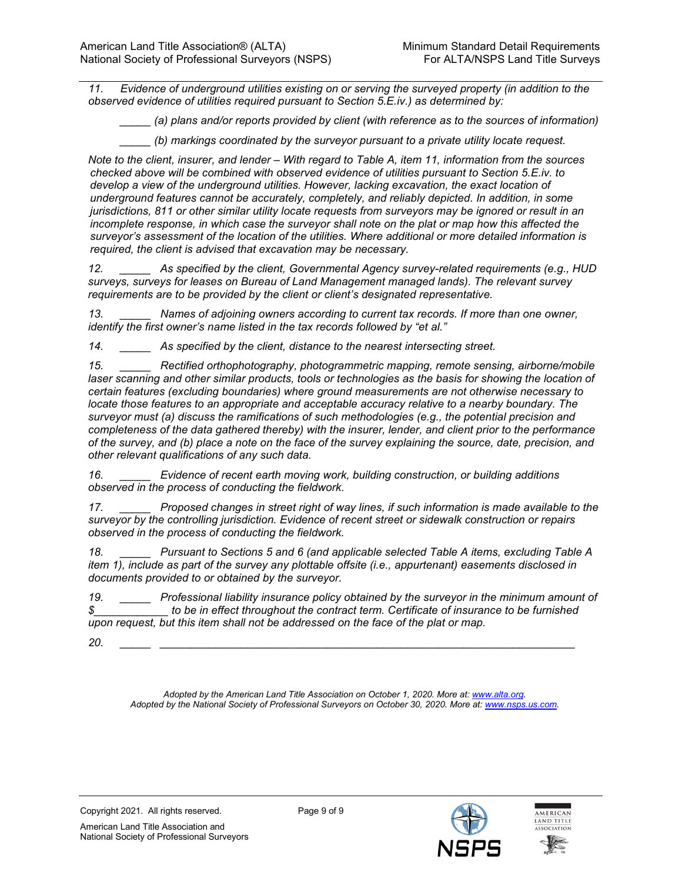*11. Evidence of underground utilities existing on or serving the surveyed property (in addition to the observed evidence of utilities required pursuant to Section 5.E.iv.) as determined by:*

*\_\_\_\_\_ (a) plans and/or reports provided by client (with reference as to the sources of information)*

*\_\_\_\_\_ (b) markings coordinated by the surveyor pursuant to a private utility locate request.*

*Note to the client, insurer, and lender – With regard to Table A, item 11, information from the sources checked above will be combined with observed evidence of utilities pursuant to Section 5.E.iv. to develop a view of the underground utilities. However, lacking excavation, the exact location of underground features cannot be accurately, completely, and reliably depicted. In addition, in some jurisdictions, 811 or other similar utility locate requests from surveyors may be ignored or result in an* incomplete response, in which case the surveyor shall note on the plat or map how this affected the *surveyor's assessment of the location of the utilities. Where additional or more detailed information is required, the client is advised that excavation may be necessary.*

*12. \_\_\_\_\_ As specified by the client, Governmental Agency survey-related requirements (e.g., HUD surveys, surveys for leases on Bureau of Land Management managed lands). The relevant survey requirements are to be provided by the client or client's designated representative.*

*13. \_\_\_\_\_ Names of adjoining owners according to current tax records. If more than one owner, identify the first owner's name listed in the tax records followed by "et al."*

*14. \_\_\_\_\_ As specified by the client, distance to the nearest intersecting street.*

*15. \_\_\_\_\_ Rectified orthophotography, photogrammetric mapping, remote sensing, airborne/mobile laser scanning and other similar products, tools or technologies as the basis for showing the location of certain features (excluding boundaries) where ground measurements are not otherwise necessary to locate those features to an appropriate and acceptable accuracy relative to a nearby boundary. The surveyor must (a) discuss the ramifications of such methodologies (e.g., the potential precision and completeness of the data gathered thereby) with the insurer, lender, and client prior to the performance* of the survey, and (b) place a note on the face of the survey explaining the source, date, precision, and *other relevant qualifications of any such data.*

*16. \_\_\_\_\_ Evidence of recent earth moving work, building construction, or building additions observed in the process of conducting the fieldwork.*

17. \_\_\_\_\_\_\_ Proposed changes in street right of way lines, if such information is made available to the *surveyor by the controlling jurisdiction. Evidence of recent street or sidewalk construction or repairs observed in the process of conducting the fieldwork.*

*18. \_\_\_\_\_ Pursuant to Sections 5 and 6 (and applicable selected Table A items, excluding Table A item 1), include as part of the survey any plottable offsite (i.e., appurtenant) easements disclosed in documents provided to or obtained by the surveyor.*

*19. \_\_\_\_\_ Professional liability insurance policy obtained by the surveyor in the minimum amount of \$\_\_\_\_\_\_\_\_\_\_\_\_ to be in effect throughout the contract term. Certificate of insurance to be furnished upon request, but this item shall not be addressed on the face of the plat or map.*

*20. \_\_\_\_\_ \_\_\_\_\_\_\_\_\_\_\_\_\_\_\_\_\_\_\_\_\_\_\_\_\_\_\_\_\_\_\_\_\_\_\_\_\_\_\_\_\_\_\_\_\_\_\_\_\_\_\_\_\_\_\_\_\_\_\_\_\_\_\_\_\_\_\_*

*Adopted by the American Land Title Association on October 1, 2020. More at: [www.alta.org.](http://www.alta.org/) Adopted by the National Society of Professional Surveyors on October 30, 2020. More at: [www.nsps.us.com.](http://www.nsps.us.com/)*



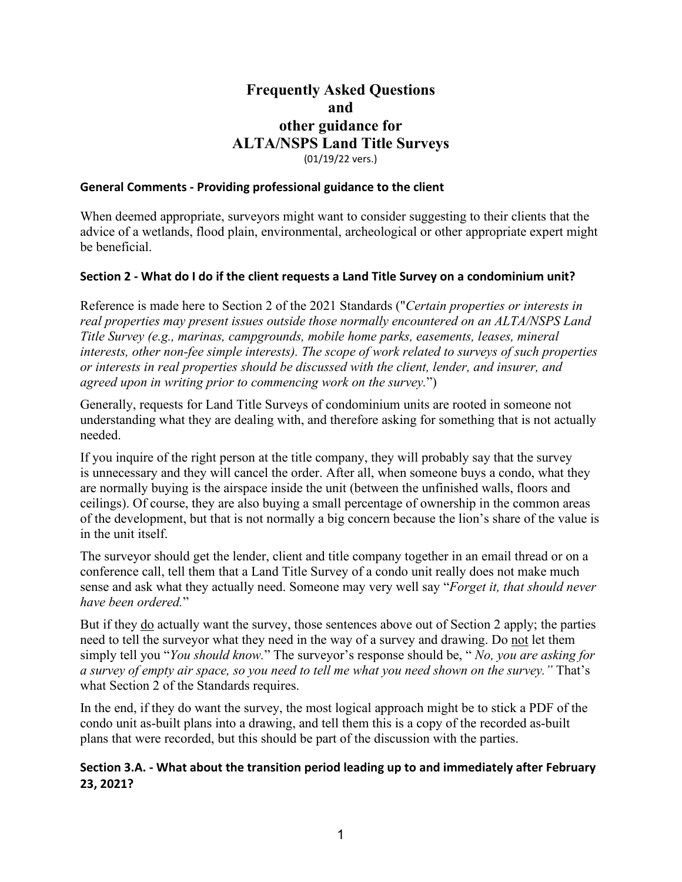## **Frequently Asked Questions and other guidance for ALTA/NSPS Land Title Surveys** (01/19/22 vers.)

#### **General Comments - Providing professional guidance to the client**

When deemed appropriate, surveyors might want to consider suggesting to their clients that the advice of a wetlands, flood plain, environmental, archeological or other appropriate expert might be beneficial.

#### **Section 2 - What do I do if the client requests a Land Title Survey on a condominium unit?**

Reference is made here to Section 2 of the 2021 Standards ("*Certain properties or interests in real properties may present issues outside those normally encountered on an ALTA/NSPS Land Title Survey (e.g., marinas, campgrounds, mobile home parks, easements, leases, mineral interests, other non-fee simple interests). The scope of work related to surveys of such properties or interests in real properties should be discussed with the client, lender, and insurer, and agreed upon in writing prior to commencing work on the survey.*")

Generally, requests for Land Title Surveys of condominium units are rooted in someone not understanding what they are dealing with, and therefore asking for something that is not actually needed.

If you inquire of the right person at the title company, they will probably say that the survey is unnecessary and they will cancel the order. After all, when someone buys a condo, what they are normally buying is the airspace inside the unit (between the unfinished walls, floors and ceilings). Of course, they are also buying a small percentage of ownership in the common areas of the development, but that is not normally a big concern because the lion's share of the value is in the unit itself.

The surveyor should get the lender, client and title company together in an email thread or on a conference call, tell them that a Land Title Survey of a condo unit really does not make much sense and ask what they actually need. Someone may very well say "*Forget it, that should never have been ordered.*"

But if they <u>do</u> actually want the survey, those sentences above out of Section 2 apply; the parties need to tell the surveyor what they need in the way of a survey and drawing. Do not let them simply tell you "*You should know.*" The surveyor's response should be, " *No, you are asking for a survey of empty air space, so you need to tell me what you need shown on the survey."* That's what Section 2 of the Standards requires.

In the end, if they do want the survey, the most logical approach might be to stick a PDF of the condo unit as-built plans into a drawing, and tell them this is a copy of the recorded as-built plans that were recorded, but this should be part of the discussion with the parties.

### **Section 3.A. - What about the transition period leading up to and immediately after February 23, 2021?**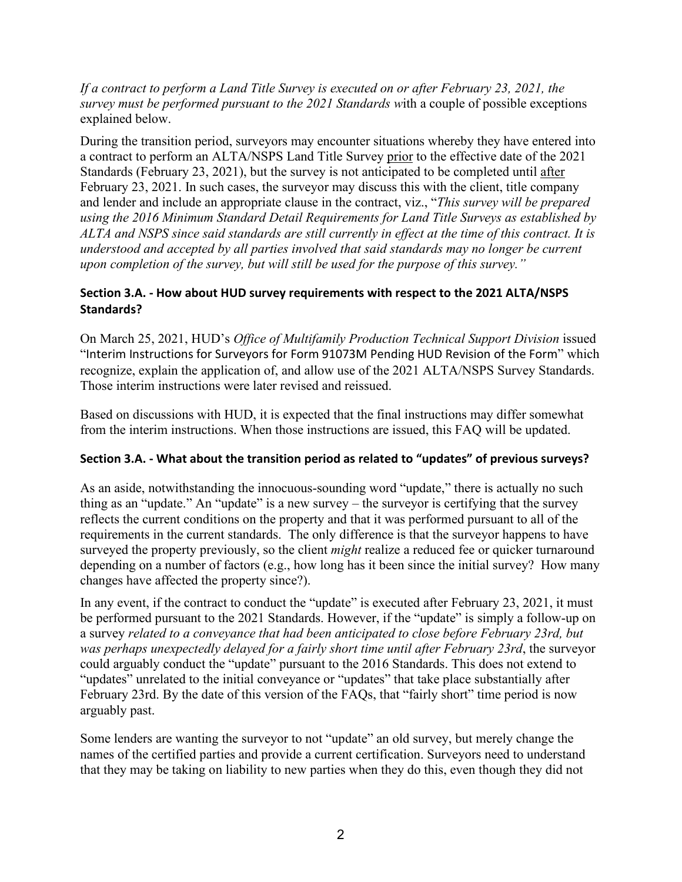*If a contract to perform a Land Title Survey is executed on or after February 23, 2021, the survey must be performed pursuant to the 2021 Standards w*ith a couple of possible exceptions explained below.

During the transition period, surveyors may encounter situations whereby they have entered into a contract to perform an ALTA/NSPS Land Title Survey prior to the effective date of the 2021 Standards (February 23, 2021), but the survey is not anticipated to be completed until after February 23, 2021. In such cases, the surveyor may discuss this with the client, title company and lender and include an appropriate clause in the contract, viz., "*This survey will be prepared using the 2016 Minimum Standard Detail Requirements for Land Title Surveys as established by ALTA and NSPS since said standards are still currently in effect at the time of this contract. It is understood and accepted by all parties involved that said standards may no longer be current upon completion of the survey, but will still be used for the purpose of this survey."*

## **Section 3.A. - How about HUD survey requirements with respect to the 2021 ALTA/NSPS Standards?**

On March 25, 2021, HUD's *Office of Multifamily Production Technical Support Division* issued "Interim Instructions for Surveyors for Form 91073M Pending HUD Revision of the Form" which recognize, explain the application of, and allow use of the 2021 ALTA/NSPS Survey Standards. Those interim instructions were later revised and reissued.

Based on discussions with HUD, it is expected that the final instructions may differ somewhat from the interim instructions. When those instructions are issued, this FAQ will be updated.

## **Section 3.A. - What about the transition period as related to "updates" of previous surveys?**

As an aside, notwithstanding the innocuous-sounding word "update," there is actually no such thing as an "update." An "update" is a new survey – the surveyor is certifying that the survey reflects the current conditions on the property and that it was performed pursuant to all of the requirements in the current standards. The only difference is that the surveyor happens to have surveyed the property previously, so the client *might* realize a reduced fee or quicker turnaround depending on a number of factors (e.g., how long has it been since the initial survey? How many changes have affected the property since?).

In any event, if the contract to conduct the "update" is executed after February 23, 2021, it must be performed pursuant to the 2021 Standards. However, if the "update" is simply a follow-up on a survey *related to a conveyance that had been anticipated to close before February 23rd, but was perhaps unexpectedly delayed for a fairly short time until after February 23rd*, the surveyor could arguably conduct the "update" pursuant to the 2016 Standards. This does not extend to "updates" unrelated to the initial conveyance or "updates" that take place substantially after February 23rd. By the date of this version of the FAQs, that "fairly short" time period is now arguably past.

Some lenders are wanting the surveyor to not "update" an old survey, but merely change the names of the certified parties and provide a current certification. Surveyors need to understand that they may be taking on liability to new parties when they do this, even though they did not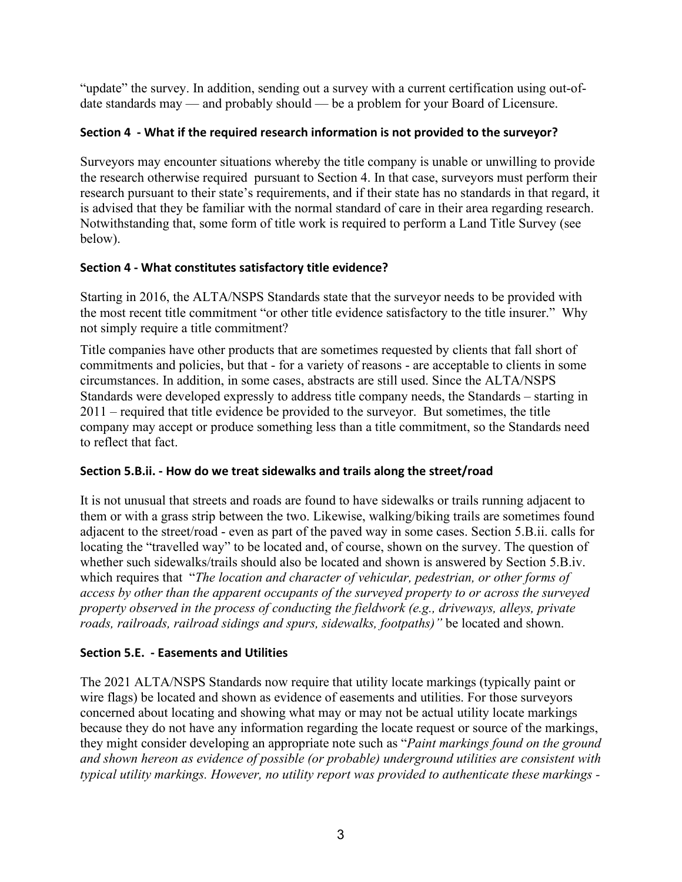"update" the survey. In addition, sending out a survey with a current certification using out-ofdate standards may — and probably should — be a problem for your Board of Licensure.

## **Section 4 - What if the required research information is not provided to the surveyor?**

Surveyors may encounter situations whereby the title company is unable or unwilling to provide the research otherwise required pursuant to Section 4. In that case, surveyors must perform their research pursuant to their state's requirements, and if their state has no standards in that regard, it is advised that they be familiar with the normal standard of care in their area regarding research. Notwithstanding that, some form of title work is required to perform a Land Title Survey (see below).

## **Section 4 - What constitutes satisfactory title evidence?**

Starting in 2016, the ALTA/NSPS Standards state that the surveyor needs to be provided with the most recent title commitment "or other title evidence satisfactory to the title insurer." Why not simply require a title commitment?

Title companies have other products that are sometimes requested by clients that fall short of commitments and policies, but that - for a variety of reasons - are acceptable to clients in some circumstances. In addition, in some cases, abstracts are still used. Since the ALTA/NSPS Standards were developed expressly to address title company needs, the Standards – starting in 2011 – required that title evidence be provided to the surveyor. But sometimes, the title company may accept or produce something less than a title commitment, so the Standards need to reflect that fact.

## **Section 5.B.ii. - How do we treat sidewalks and trails along the street/road**

It is not unusual that streets and roads are found to have sidewalks or trails running adjacent to them or with a grass strip between the two. Likewise, walking/biking trails are sometimes found adjacent to the street/road - even as part of the paved way in some cases. Section 5.B.ii. calls for locating the "travelled way" to be located and, of course, shown on the survey. The question of whether such sidewalks/trails should also be located and shown is answered by Section 5.B.iv. which requires that "*The location and character of vehicular, pedestrian, or other forms of access by other than the apparent occupants of the surveyed property to or across the surveyed property observed in the process of conducting the fieldwork (e.g., driveways, alleys, private roads, railroads, railroad sidings and spurs, sidewalks, footpaths)"* be located and shown.

## **Section 5.E. - Easements and Utilities**

The 2021 ALTA/NSPS Standards now require that utility locate markings (typically paint or wire flags) be located and shown as evidence of easements and utilities. For those surveyors concerned about locating and showing what may or may not be actual utility locate markings because they do not have any information regarding the locate request or source of the markings, they might consider developing an appropriate note such as "*Paint markings found on the ground and shown hereon as evidence of possible (or probable) underground utilities are consistent with typical utility markings. However, no utility report was provided to authenticate these markings -*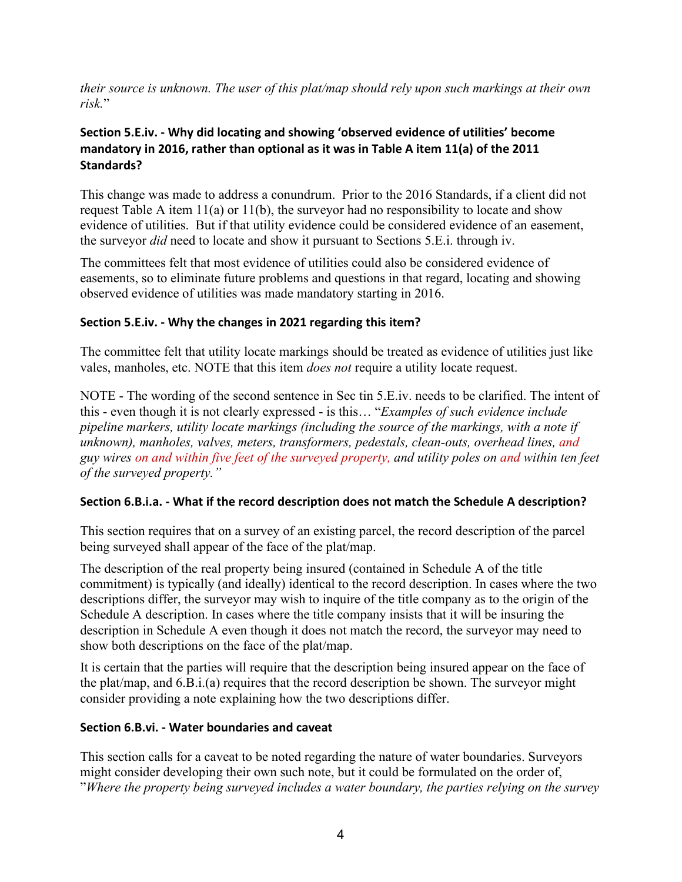*their source is unknown. The user of this plat/map should rely upon such markings at their own risk.*"

## **Section 5.E.iv. - Why did locating and showing 'observed evidence of utilities' become mandatory in 2016, rather than optional as it was in Table A item 11(a) of the 2011 Standards?**

This change was made to address a conundrum. Prior to the 2016 Standards, if a client did not request Table A item 11(a) or 11(b), the surveyor had no responsibility to locate and show evidence of utilities. But if that utility evidence could be considered evidence of an easement, the surveyor *did* need to locate and show it pursuant to Sections 5.E.i. through iv.

The committees felt that most evidence of utilities could also be considered evidence of easements, so to eliminate future problems and questions in that regard, locating and showing observed evidence of utilities was made mandatory starting in 2016.

## **Section 5.E.iv. - Why the changes in 2021 regarding this item?**

The committee felt that utility locate markings should be treated as evidence of utilities just like vales, manholes, etc. NOTE that this item *does not* require a utility locate request.

NOTE - The wording of the second sentence in Sec tin 5.E.iv. needs to be clarified. The intent of this - even though it is not clearly expressed - is this… "*Examples of such evidence include pipeline markers, utility locate markings (including the source of the markings, with a note if unknown), manholes, valves, meters, transformers, pedestals, clean-outs, overhead lines, and guy wires on and within five feet of the surveyed property, and utility poles on and within ten feet of the surveyed property."*

## **Section 6.B.i.a. - What if the record description does not match the Schedule A description?**

This section requires that on a survey of an existing parcel, the record description of the parcel being surveyed shall appear of the face of the plat/map.

The description of the real property being insured (contained in Schedule A of the title commitment) is typically (and ideally) identical to the record description. In cases where the two descriptions differ, the surveyor may wish to inquire of the title company as to the origin of the Schedule A description. In cases where the title company insists that it will be insuring the description in Schedule A even though it does not match the record, the surveyor may need to show both descriptions on the face of the plat/map.

It is certain that the parties will require that the description being insured appear on the face of the plat/map, and 6.B.i.(a) requires that the record description be shown. The surveyor might consider providing a note explaining how the two descriptions differ.

### **Section 6.B.vi. - Water boundaries and caveat**

This section calls for a caveat to be noted regarding the nature of water boundaries. Surveyors might consider developing their own such note, but it could be formulated on the order of, "*Where the property being surveyed includes a water boundary, the parties relying on the survey*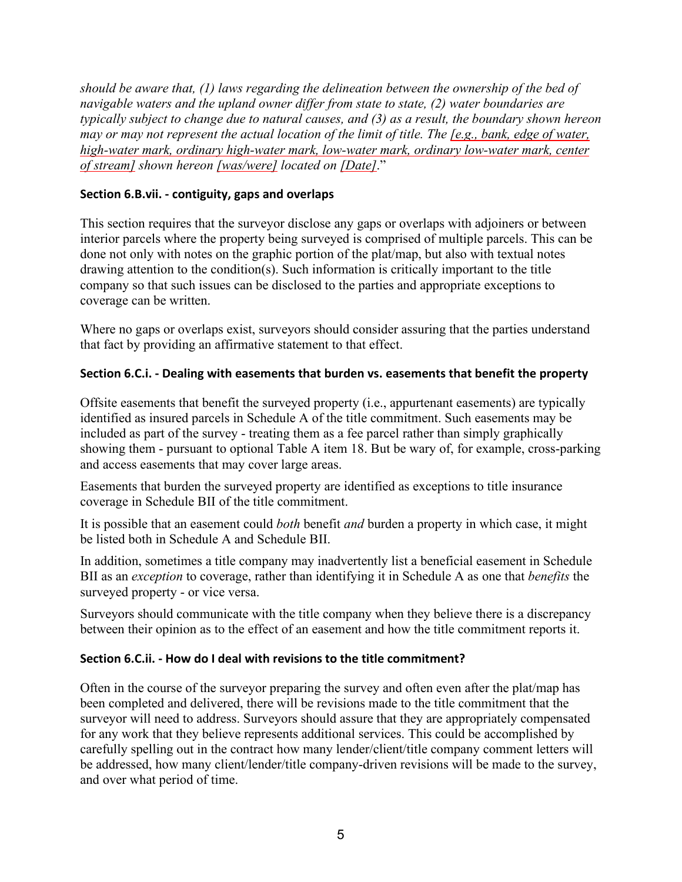*should be aware that, (1) laws regarding the delineation between the ownership of the bed of navigable waters and the upland owner differ from state to state, (2) water boundaries are typically subject to change due to natural causes, and (3) as a result, the boundary shown hereon may or may not represent the actual location of the limit of title. The [e.g., bank, edge of water, high-water mark, ordinary high-water mark, low-water mark, ordinary low-water mark, center of stream] shown hereon [was/were] located on [Date]*."

## **Section 6.B.vii. - contiguity, gaps and overlaps**

This section requires that the surveyor disclose any gaps or overlaps with adjoiners or between interior parcels where the property being surveyed is comprised of multiple parcels. This can be done not only with notes on the graphic portion of the plat/map, but also with textual notes drawing attention to the condition(s). Such information is critically important to the title company so that such issues can be disclosed to the parties and appropriate exceptions to coverage can be written.

Where no gaps or overlaps exist, surveyors should consider assuring that the parties understand that fact by providing an affirmative statement to that effect.

## **Section 6.C.i. - Dealing with easements that burden vs. easements that benefit the property**

Offsite easements that benefit the surveyed property (i.e., appurtenant easements) are typically identified as insured parcels in Schedule A of the title commitment. Such easements may be included as part of the survey - treating them as a fee parcel rather than simply graphically showing them - pursuant to optional Table A item 18. But be wary of, for example, cross-parking and access easements that may cover large areas.

Easements that burden the surveyed property are identified as exceptions to title insurance coverage in Schedule BII of the title commitment.

It is possible that an easement could *both* benefit *and* burden a property in which case, it might be listed both in Schedule A and Schedule BII.

In addition, sometimes a title company may inadvertently list a beneficial easement in Schedule BII as an *exception* to coverage, rather than identifying it in Schedule A as one that *benefits* the surveyed property - or vice versa.

Surveyors should communicate with the title company when they believe there is a discrepancy between their opinion as to the effect of an easement and how the title commitment reports it.

## **Section 6.C.ii. - How do I deal with revisions to the title commitment?**

Often in the course of the surveyor preparing the survey and often even after the plat/map has been completed and delivered, there will be revisions made to the title commitment that the surveyor will need to address. Surveyors should assure that they are appropriately compensated for any work that they believe represents additional services. This could be accomplished by carefully spelling out in the contract how many lender/client/title company comment letters will be addressed, how many client/lender/title company-driven revisions will be made to the survey, and over what period of time.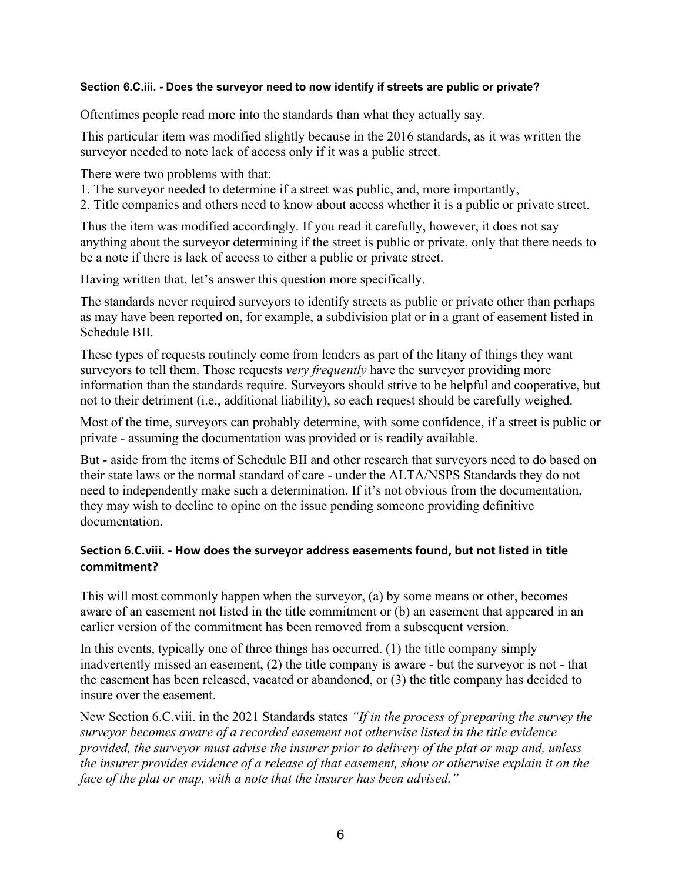#### **Section 6.C.iii. - Does the surveyor need to now identify if streets are public or private?**

Oftentimes people read more into the standards than what they actually say.

This particular item was modified slightly because in the 2016 standards, as it was written the surveyor needed to note lack of access only if it was a public street.

There were two problems with that:

- 1. The surveyor needed to determine if a street was public, and, more importantly,
- 2. Title companies and others need to know about access whether it is a public or private street.

Thus the item was modified accordingly. If you read it carefully, however, it does not say anything about the surveyor determining if the street is public or private, only that there needs to be a note if there is lack of access to either a public or private street.

Having written that, let's answer this question more specifically.

The standards never required surveyors to identify streets as public or private other than perhaps as may have been reported on, for example, a subdivision plat or in a grant of easement listed in Schedule BII.

These types of requests routinely come from lenders as part of the litany of things they want surveyors to tell them. Those requests *very frequently* have the surveyor providing more information than the standards require. Surveyors should strive to be helpful and cooperative, but not to their detriment (i.e., additional liability), so each request should be carefully weighed.

Most of the time, surveyors can probably determine, with some confidence, if a street is public or private - assuming the documentation was provided or is readily available.

But - aside from the items of Schedule BII and other research that surveyors need to do based on their state laws or the normal standard of care - under the ALTA/NSPS Standards they do not need to independently make such a determination. If it's not obvious from the documentation, they may wish to decline to opine on the issue pending someone providing definitive documentation.

## **Section 6.C.viii. - How does the surveyor address easements found, but not listed in title commitment?**

This will most commonly happen when the surveyor, (a) by some means or other, becomes aware of an easement not listed in the title commitment or (b) an easement that appeared in an earlier version of the commitment has been removed from a subsequent version.

In this events, typically one of three things has occurred. (1) the title company simply inadvertently missed an easement, (2) the title company is aware - but the surveyor is not - that the easement has been released, vacated or abandoned, or (3) the title company has decided to insure over the easement.

New Section 6.C.viii. in the 2021 Standards states *"If in the process of preparing the survey the surveyor becomes aware of a recorded easement not otherwise listed in the title evidence provided, the surveyor must advise the insurer prior to delivery of the plat or map and, unless the insurer provides evidence of a release of that easement, show or otherwise explain it on the face of the plat or map, with a note that the insurer has been advised."*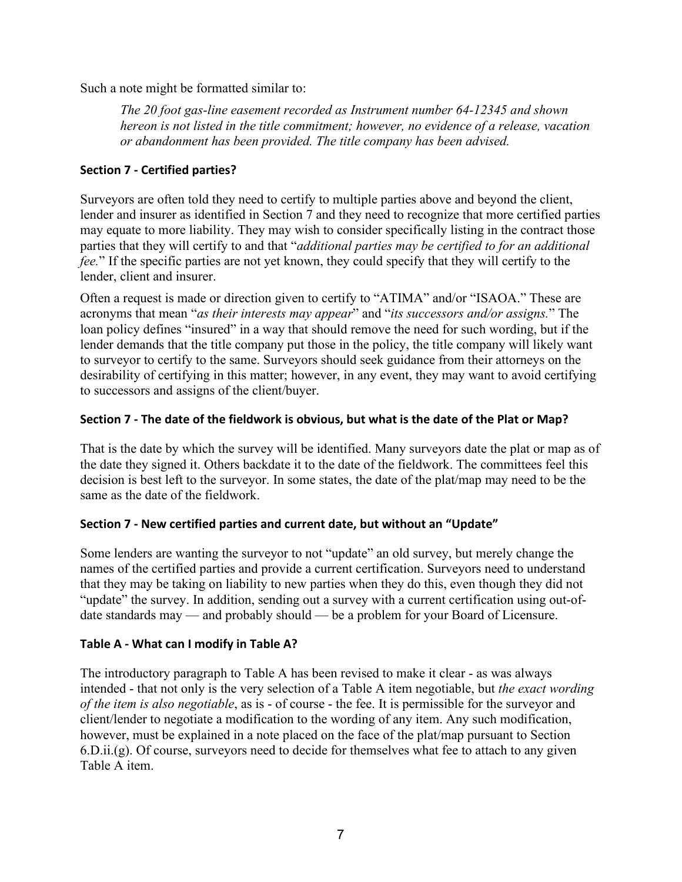Such a note might be formatted similar to:

*The 20 foot gas-line easement recorded as Instrument number 64-12345 and shown hereon is not listed in the title commitment; however, no evidence of a release, vacation or abandonment has been provided. The title company has been advised.*

### **Section 7 - Certified parties?**

Surveyors are often told they need to certify to multiple parties above and beyond the client, lender and insurer as identified in Section 7 and they need to recognize that more certified parties may equate to more liability. They may wish to consider specifically listing in the contract those parties that they will certify to and that "*additional parties may be certified to for an additional fee.*" If the specific parties are not yet known, they could specify that they will certify to the lender, client and insurer.

Often a request is made or direction given to certify to "ATIMA" and/or "ISAOA." These are acronyms that mean "*as their interests may appear*" and "*its successors and/or assigns.*" The loan policy defines "insured" in a way that should remove the need for such wording, but if the lender demands that the title company put those in the policy, the title company will likely want to surveyor to certify to the same. Surveyors should seek guidance from their attorneys on the desirability of certifying in this matter; however, in any event, they may want to avoid certifying to successors and assigns of the client/buyer.

### **Section 7 - The date of the fieldwork is obvious, but what is the date of the Plat or Map?**

That is the date by which the survey will be identified. Many surveyors date the plat or map as of the date they signed it. Others backdate it to the date of the fieldwork. The committees feel this decision is best left to the surveyor. In some states, the date of the plat/map may need to be the same as the date of the fieldwork.

### **Section 7 - New certified parties and current date, but without an "Update"**

Some lenders are wanting the surveyor to not "update" an old survey, but merely change the names of the certified parties and provide a current certification. Surveyors need to understand that they may be taking on liability to new parties when they do this, even though they did not "update" the survey. In addition, sending out a survey with a current certification using out-ofdate standards may — and probably should — be a problem for your Board of Licensure.

### **Table A - What can I modify in Table A?**

The introductory paragraph to Table A has been revised to make it clear - as was always intended - that not only is the very selection of a Table A item negotiable, but *the exact wording of the item is also negotiable*, as is - of course - the fee. It is permissible for the surveyor and client/lender to negotiate a modification to the wording of any item. Any such modification, however, must be explained in a note placed on the face of the plat/map pursuant to Section 6.D.ii.(g). Of course, surveyors need to decide for themselves what fee to attach to any given Table A item.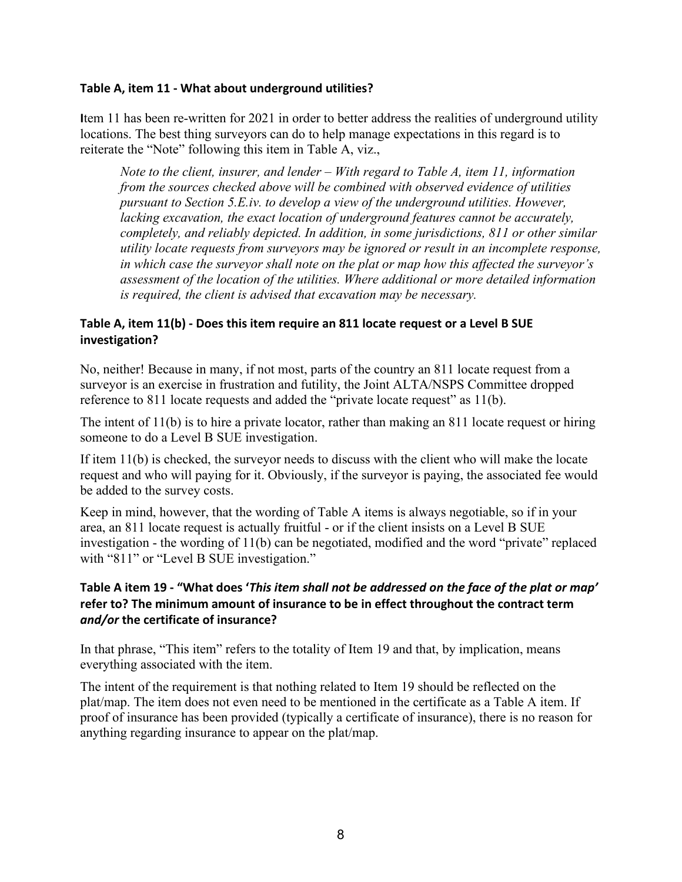### **Table A, item 11 - What about underground utilities?**

**I**tem 11 has been re-written for 2021 in order to better address the realities of underground utility locations. The best thing surveyors can do to help manage expectations in this regard is to reiterate the "Note" following this item in Table A, viz.,

*Note to the client, insurer, and lender – With regard to Table A, item 11, information from the sources checked above will be combined with observed evidence of utilities pursuant to Section 5.E.iv. to develop a view of the underground utilities. However, lacking excavation, the exact location of underground features cannot be accurately, completely, and reliably depicted. In addition, in some jurisdictions, 811 or other similar utility locate requests from surveyors may be ignored or result in an incomplete response, in which case the surveyor shall note on the plat or map how this affected the surveyor's assessment of the location of the utilities. Where additional or more detailed information is required, the client is advised that excavation may be necessary.*

### **Table A, item 11(b) - Does this item require an 811 locate request or a Level B SUE investigation?**

No, neither! Because in many, if not most, parts of the country an 811 locate request from a surveyor is an exercise in frustration and futility, the Joint ALTA/NSPS Committee dropped reference to 811 locate requests and added the "private locate request" as 11(b).

The intent of 11(b) is to hire a private locator, rather than making an 811 locate request or hiring someone to do a Level B SUE investigation.

If item 11(b) is checked, the surveyor needs to discuss with the client who will make the locate request and who will paying for it. Obviously, if the surveyor is paying, the associated fee would be added to the survey costs.

Keep in mind, however, that the wording of Table A items is always negotiable, so if in your area, an 811 locate request is actually fruitful - or if the client insists on a Level B SUE investigation - the wording of 11(b) can be negotiated, modified and the word "private" replaced with "811" or "Level B SUE investigation."

## **Table A item 19 - "What does '***This item shall not be addressed on the face of the plat or map'* **refer to? The minimum amount of insurance to be in effect throughout the contract term** *and/or* **the certificate of insurance?**

In that phrase, "This item" refers to the totality of Item 19 and that, by implication, means everything associated with the item.

The intent of the requirement is that nothing related to Item 19 should be reflected on the plat/map. The item does not even need to be mentioned in the certificate as a Table A item. If proof of insurance has been provided (typically a certificate of insurance), there is no reason for anything regarding insurance to appear on the plat/map.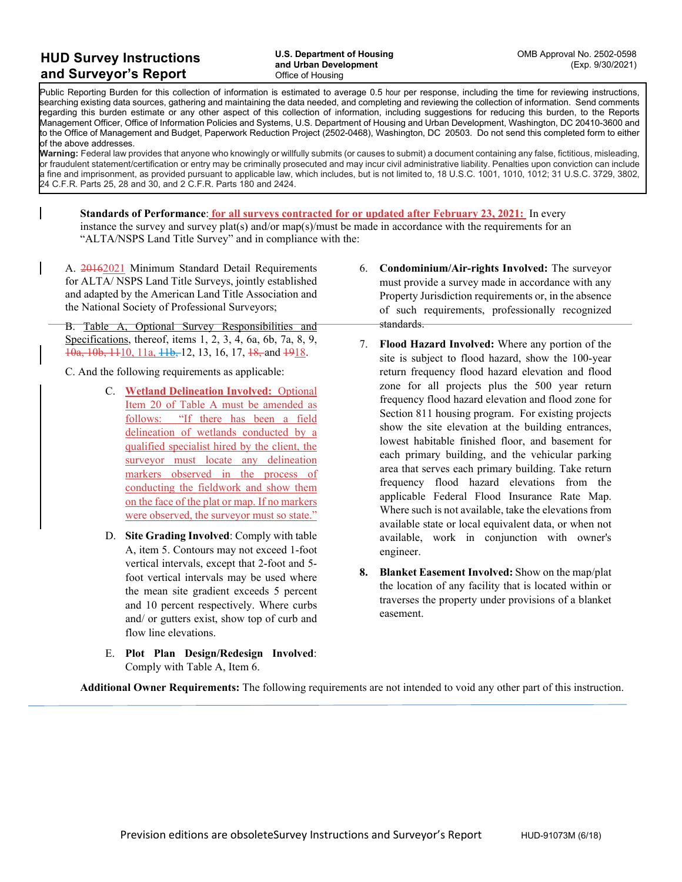## **HUD Survey Instructions and Surveyor's Report**

Office of Housing

Public Reporting Burden for this collection of information is estimated to average 0.5 hour per response, including the time for reviewing instructions, searching existing data sources, gathering and maintaining the data needed, and completing and reviewing the collection of information. Send comments regarding this burden estimate or any other aspect of this collection of information, including suggestions for reducing this burden, to the Reports Management Officer, Office of Information Policies and Systems, U.S. Department of Housing and Urban Development, Washington, DC 20410-3600 and to the Office of Management and Budget, Paperwork Reduction Project (2502-0468), Washington, DC 20503. Do not send this completed form to either of the above addresses.

**Warning:** Federal law provides that anyone who knowingly or willfully submits (or causes to submit) a document containing any false, fictitious, misleading, or fraudulent statement/certification or entry may be criminally prosecuted and may incur civil administrative liability. Penalties upon conviction can include a fine and imprisonment, as provided pursuant to applicable law, which includes, but is not limited to, 18 U.S.C. 1001, 1010, 1012; 31 U.S.C. 3729, 3802, 24 C.F.R. Parts 25, 28 and 30, and 2 C.F.R. Parts 180 and 2424.

**Standards of Performance**: **for all surveys contracted for or updated after February 23, 2021:** In every instance the survey and survey plat(s) and/or map(s)/must be made in accordance with the requirements for an "ALTA/NSPS Land Title Survey" and in compliance with the:

A. 20162021 Minimum Standard Detail Requirements for ALTA/ NSPS Land Title Surveys, jointly established and adapted by the American Land Title Association and the National Society of Professional Surveyors;

B. Table A, Optional Survey Responsibilities and Specifications, thereof, items 1, 2, 3, 4, 6a, 6b, 7a, 8, 9, 10a, 10b, 1110, 11a, 11b, 12, 13, 16, 17, 18, and 1918.

C. And the following requirements as applicable:

- C. **Wetland Delineation Involved:** Optional Item 20 of Table A must be amended as follows: "If there has been a field delineation of wetlands conducted by a qualified specialist hired by the client, the surveyor must locate any delineation markers observed in the process of conducting the fieldwork and show them on the face of the plat or map. If no markers were observed, the surveyor must so state."
- D. **Site Grading Involved**: Comply with table A, item 5. Contours may not exceed 1-foot vertical intervals, except that 2-foot and 5 foot vertical intervals may be used where the mean site gradient exceeds 5 percent and 10 percent respectively. Where curbs and/ or gutters exist, show top of curb and flow line elevations.
- E. **Plot Plan Design/Redesign Involved**: Comply with Table A, Item 6.
- 6. **Condominium/Air-rights Involved:** The surveyor must provide a survey made in accordance with any Property Jurisdiction requirements or, in the absence of such requirements, professionally recognized standards.
- 7. **Flood Hazard Involved:** Where any portion of the site is subject to flood hazard, show the 100-year return frequency flood hazard elevation and flood zone for all projects plus the 500 year return frequency flood hazard elevation and flood zone for Section 811 housing program. For existing projects show the site elevation at the building entrances, lowest habitable finished floor, and basement for each primary building, and the vehicular parking area that serves each primary building. Take return frequency flood hazard elevations from the applicable Federal Flood Insurance Rate Map. Where such is not available, take the elevations from available state or local equivalent data, or when not available, work in conjunction with owner's engineer.
- **8. Blanket Easement Involved:** Show on the map/plat the location of any facility that is located within or traverses the property under provisions of a blanket easement.

**Additional Owner Requirements:** The following requirements are not intended to void any other part of this instruction.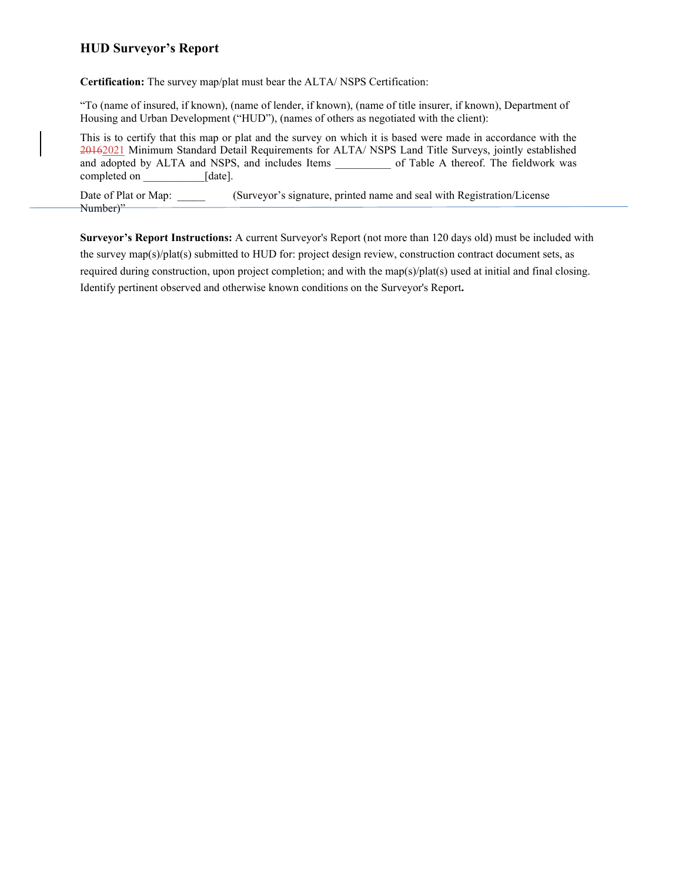## **HUD Surveyor's Report**

**Certification:** The survey map/plat must bear the ALTA/ NSPS Certification:

"To (name of insured, if known), (name of lender, if known), (name of title insurer, if known), Department of Housing and Urban Development ("HUD"), (names of others as negotiated with the client):

This is to certify that this map or plat and the survey on which it is based were made in accordance with the 20162021 Minimum Standard Detail Requirements for ALTA/ NSPS Land Title Surveys, jointly established and adopted by ALTA and NSPS, and includes Items \_\_\_\_\_\_\_\_\_\_ of Table A thereof. The fieldwork was completed on [date].

Date of Plat or Map: (Surveyor's signature, printed name and seal with Registration/License Number)"

**Surveyor's Report Instructions:** A current Surveyor's Report (not more than 120 days old) must be included with the survey map(s)/plat(s) submitted to HUD for: project design review, construction contract document sets, as required during construction, upon project completion; and with the map(s)/plat(s) used at initial and final closing. Identify pertinent observed and otherwise known conditions on the Surveyor's Report**.**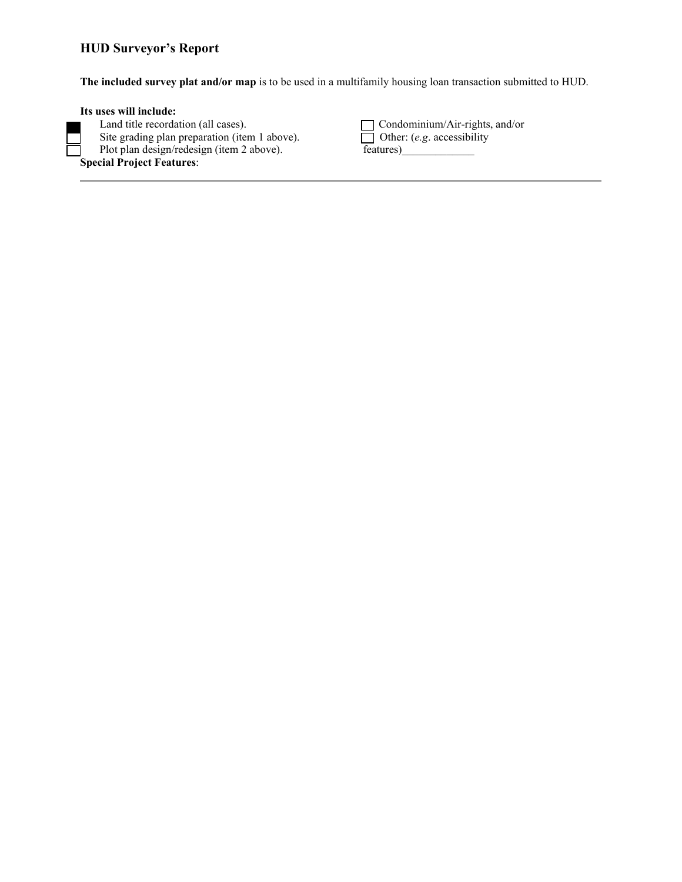# **HUD Surveyor's Report**

**The included survey plat and/or map** is to be used in a multifamily housing loan transaction submitted to HUD.

| Its uses will include:                        |                                       |
|-----------------------------------------------|---------------------------------------|
| Land title recordation (all cases).           | $\Box$ Condominium/Air-rights, and/or |
| Site grading plan preparation (item 1 above). | $\Box$ Other: (e.g. accessibility     |
| Plot plan design/redesign (item 2 above).     | features)                             |
| <b>Special Project Features:</b>              |                                       |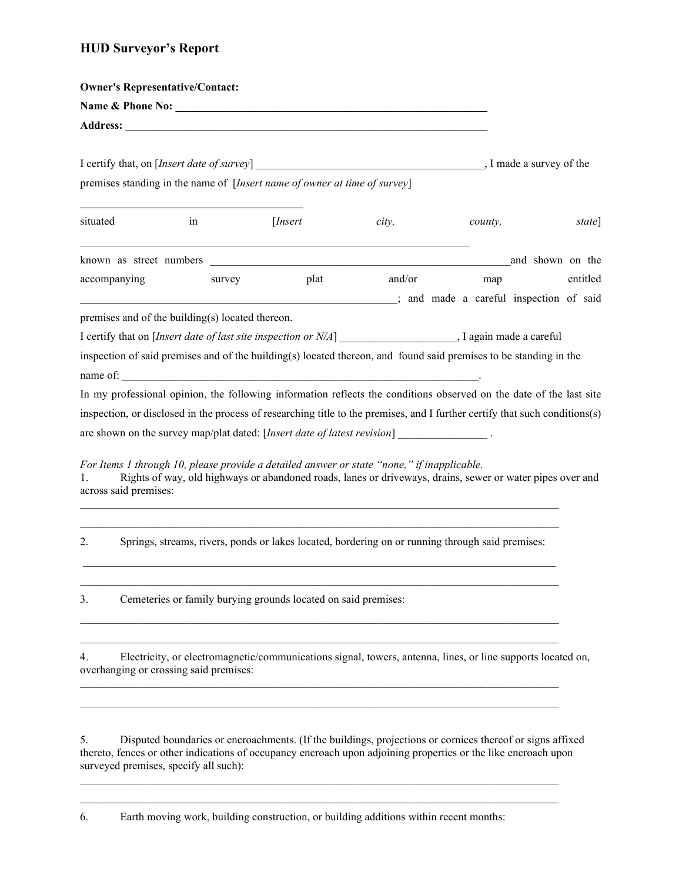## **HUD Surveyor's Report**

|                                                                           | <b>Owner's Representative/Contact:</b>                                                     |          |        |                                                                                                                             |                  |
|---------------------------------------------------------------------------|--------------------------------------------------------------------------------------------|----------|--------|-----------------------------------------------------------------------------------------------------------------------------|------------------|
|                                                                           |                                                                                            |          |        |                                                                                                                             |                  |
|                                                                           |                                                                                            |          |        |                                                                                                                             |                  |
| premises standing in the name of [Insert name of owner at time of survey] |                                                                                            |          |        |                                                                                                                             |                  |
|                                                                           |                                                                                            |          |        |                                                                                                                             |                  |
| situated                                                                  | in                                                                                         | [Insert] | city,  | county,                                                                                                                     | state]           |
|                                                                           |                                                                                            |          |        |                                                                                                                             | and shown on the |
| accompanying                                                              | survey                                                                                     | plat     | and/or | map                                                                                                                         | entitled         |
|                                                                           | premises and of the building(s) located thereon.                                           |          |        |                                                                                                                             |                  |
|                                                                           |                                                                                            |          |        | I certify that on [ <i>Insert date of last site inspection or N/A</i> ] _________________________, I again made a careful   |                  |
|                                                                           |                                                                                            |          |        | inspection of said premises and of the building(s) located thereon, and found said premises to be standing in the           |                  |
|                                                                           |                                                                                            |          |        | In my professional opinion, the following information reflects the conditions observed on the date of the last site         |                  |
|                                                                           |                                                                                            |          |        | inspection, or disclosed in the process of researching title to the premises, and I further certify that such conditions(s) |                  |
|                                                                           | are shown on the survey map/plat dated: [ <i>Insert date of latest revision</i> ]          |          |        |                                                                                                                             |                  |
| Ι.<br>across said premises:                                               | For Items 1 through 10, please provide a detailed answer or state "none," if inapplicable. |          |        | Rights of way, old highways or abandoned roads, lanes or driveways, drains, sewer or water pipes over and                   |                  |
| 2.                                                                        |                                                                                            |          |        | Springs, streams, rivers, ponds or lakes located, bordering on or running through said premises:                            |                  |
| 3.                                                                        | Cemeteries or family burying grounds located on said premises:                             |          |        |                                                                                                                             |                  |
| 4.                                                                        | overhanging or crossing said premises:                                                     |          |        | Electricity, or electromagnetic/communications signal, towers, antenna, lines, or line supports located on,                 |                  |
|                                                                           |                                                                                            |          |        |                                                                                                                             |                  |

5. Disputed boundaries or encroachments. (If the buildings, projections or cornices thereof or signs affixed thereto, fences or other indications of occupancy encroach upon adjoining properties or the like encroach upon surveyed premises, specify all such):

\_\_\_\_\_\_\_\_\_\_\_\_\_\_\_\_\_\_\_\_\_\_\_\_\_\_\_\_\_\_\_\_\_\_\_\_\_\_\_\_\_\_\_\_\_\_\_\_\_\_\_\_\_\_\_\_\_\_\_\_\_\_\_\_\_\_\_\_\_\_\_\_\_\_\_\_\_\_\_\_\_\_\_\_\_\_  $\mathcal{L}_\mathcal{L} = \{ \mathcal{L}_\mathcal{L} = \{ \mathcal{L}_\mathcal{L} = \{ \mathcal{L}_\mathcal{L} = \{ \mathcal{L}_\mathcal{L} = \{ \mathcal{L}_\mathcal{L} = \{ \mathcal{L}_\mathcal{L} = \{ \mathcal{L}_\mathcal{L} = \{ \mathcal{L}_\mathcal{L} = \{ \mathcal{L}_\mathcal{L} = \{ \mathcal{L}_\mathcal{L} = \{ \mathcal{L}_\mathcal{L} = \{ \mathcal{L}_\mathcal{L} = \{ \mathcal{L}_\mathcal{L} = \{ \mathcal{L}_\mathcal{$ 

6. Earth moving work, building construction, or building additions within recent months: